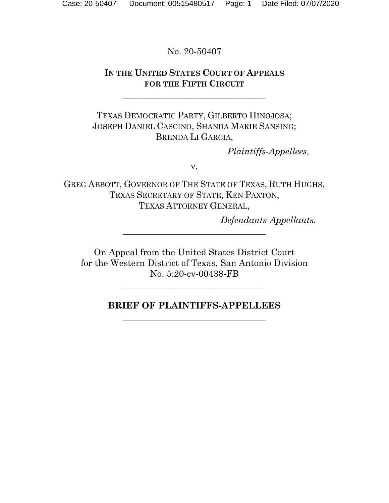No. 20-50407

## **IN THE UNITED STATES COURT OF APPEALS FOR THE FIFTH CIRCUIT**

\_\_\_\_\_\_\_\_\_\_\_\_\_\_\_\_\_\_\_\_\_\_\_\_\_\_\_\_\_\_\_\_

TEXAS DEMOCRATIC PARTY, GILBERTO HINOJOSA; JOSEPH DANIEL CASCINO, SHANDA MARIE SANSING; BRENDA LI GARCIA,

*Plaintiffs-Appellees,*

v.

GREG ABBOTT, GOVERNOR OF THE STATE OF TEXAS, RUTH HUGHS, TEXAS SECRETARY OF STATE, KEN PAXTON, TEXAS ATTORNEY GENERAL,

*Defendants-Appellants.*

On Appeal from the United States District Court for the Western District of Texas, San Antonio Division No. 5:20-cv-00438-FB

**\_\_\_\_\_\_\_\_\_\_\_\_\_\_\_\_\_\_\_\_\_\_\_\_\_\_\_\_\_\_\_\_**

\_\_\_\_\_\_\_\_\_\_\_\_\_\_\_\_\_\_\_\_\_\_\_\_\_\_\_\_\_\_\_\_

## **BRIEF OF PLAINTIFFS-APPELLEES** \_\_\_\_\_\_\_\_\_\_\_\_\_\_\_\_\_\_\_\_\_\_\_\_\_\_\_\_\_\_\_\_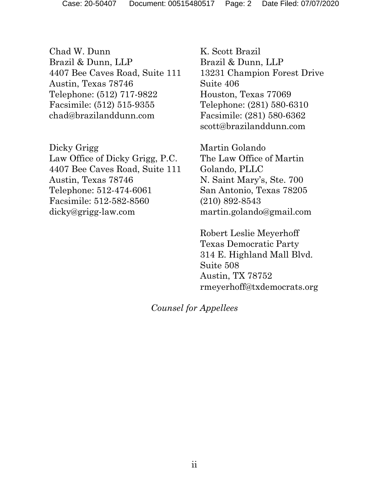Chad W. Dunn Brazil & Dunn, LLP 4407 Bee Caves Road, Suite 111 Austin, Texas 78746 Telephone: (512) 717-9822 Facsimile: (512) 515-9355 chad@brazilanddunn.com

Dicky Grigg Law Office of Dicky Grigg, P.C. 4407 Bee Caves Road, Suite 111 Austin, Texas 78746 Telephone: 512-474-6061 Facsimile: 512-582-8560 dicky@grigg-law.com

K. Scott Brazil Brazil & Dunn, LLP 13231 Champion Forest Drive Suite 406 Houston, Texas 77069 Telephone: (281) 580-6310 Facsimile: (281) 580-6362 scott@brazilanddunn.com

Martin Golando The Law Office of Martin Golando, PLLC N. Saint Mary's, Ste. 700 San Antonio, Texas 78205 (210) 892-8543 martin.golando@gmail.com

Robert Leslie Meyerhoff Texas Democratic Party 314 E. Highland Mall Blvd. Suite 508 Austin, TX 78752 rmeyerhoff@txdemocrats.org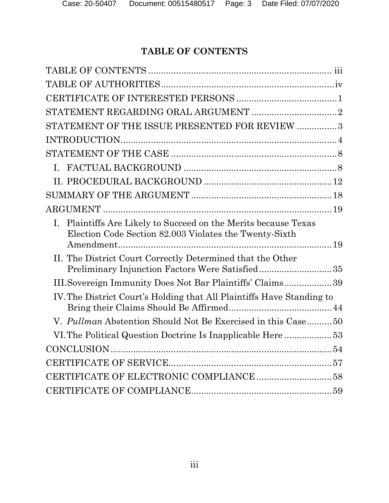# **TABLE OF CONTENTS**

<span id="page-2-0"></span>

| STATEMENT OF THE ISSUE PRESENTED FOR REVIEW 3                                                                                            |
|------------------------------------------------------------------------------------------------------------------------------------------|
|                                                                                                                                          |
|                                                                                                                                          |
|                                                                                                                                          |
|                                                                                                                                          |
|                                                                                                                                          |
|                                                                                                                                          |
| Plaintiffs Are Likely to Succeed on the Merits because Texas<br>$\mathbf{I}$ .<br>Election Code Section 82.003 Violates the Twenty-Sixth |
| II. The District Court Correctly Determined that the Other<br>Preliminary Injunction Factors Were Satisfied35                            |
| III. Sovereign Immunity Does Not Bar Plaintiffs' Claims39                                                                                |
| IV. The District Court's Holding that All Plaintiffs Have Standing to                                                                    |
| V. Pullman Abstention Should Not Be Exercised in this Case50                                                                             |
| VI. The Political Question Doctrine Is Inapplicable Here53                                                                               |
|                                                                                                                                          |
|                                                                                                                                          |
|                                                                                                                                          |
|                                                                                                                                          |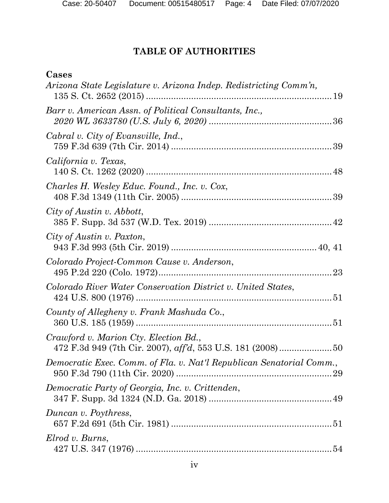# **TABLE OF AUTHORITIES**

# <span id="page-3-0"></span>**Cases**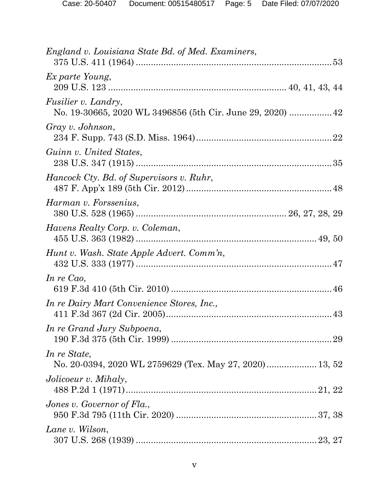| England v. Louisiana State Bd. of Med. Examiners,                                        |  |
|------------------------------------------------------------------------------------------|--|
| Ex parte Young,                                                                          |  |
| <i>Fusilier v. Landry,</i><br>No. 19-30665, 2020 WL 3496856 (5th Cir. June 29, 2020)  42 |  |
| Gray v. Johnson,                                                                         |  |
| Guinn v. United States,                                                                  |  |
| Hancock Cty. Bd. of Supervisors v. Ruhr,                                                 |  |
| Harman v. Forssenius,                                                                    |  |
| Havens Realty Corp. v. Coleman,                                                          |  |
| Hunt v. Wash. State Apple Advert. Comm'n,                                                |  |
| In re Cao,                                                                               |  |
| In re Dairy Mart Convenience Stores, Inc.,                                               |  |
| In re Grand Jury Subpoena,                                                               |  |
| In re State,<br>No. 20-0394, 2020 WL 2759629 (Tex. May 27, 2020) 13, 52                  |  |
| Jolicoeur v. Mihaly,                                                                     |  |
| Jones v. Governor of $Fla$ .                                                             |  |
| Lane v. Wilson,                                                                          |  |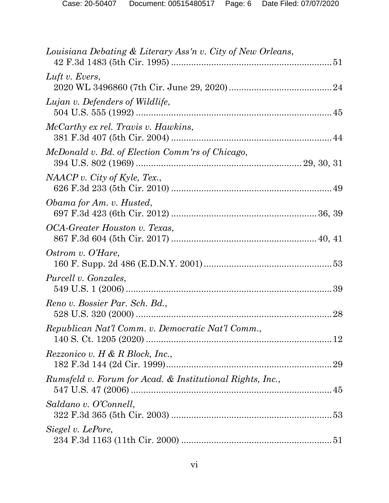| Louisiana Debating & Literary Ass'n v. City of New Orleans, |  |
|-------------------------------------------------------------|--|
| Luft v. Evers,                                              |  |
| Lujan v. Defenders of Wildlife,                             |  |
| McCarthy ex rel. Travis v. Hawkins,                         |  |
| McDonald v. Bd. of Election Comm'rs of Chicago,             |  |
| NAACP v. City of Kyle, Tex.,                                |  |
| Obama for Am. v. Husted,                                    |  |
| OCA-Greater Houston v. Texas,                               |  |
| Ostrom v. O'Hare,                                           |  |
| <i>Purcell v. Gonzales,</i>                                 |  |
| Reno v. Bossier Par. Sch. Bd.,                              |  |
| Republican Nat'l Comm. v. Democratic Nat'l Comm.,           |  |
| Rezzonico v. H & R Block, Inc.,                             |  |
| Rumsfeld v. Forum for Acad. & Institutional Rights, Inc.,   |  |
| Saldano v. O'Connell,                                       |  |
| Siegel v. LePore,                                           |  |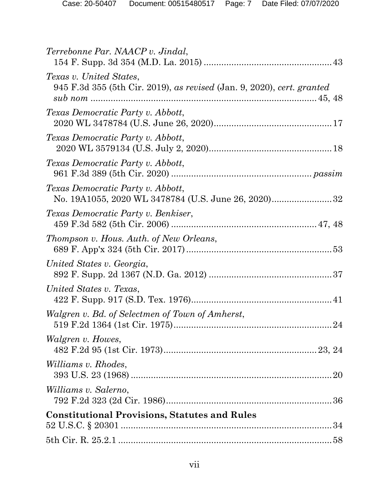| Terrebonne Par. NAACP v. Jindal,                                                                  |
|---------------------------------------------------------------------------------------------------|
| Texas v. United States,<br>945 F.3d 355 (5th Cir. 2019), as revised (Jan. 9, 2020), cert. granted |
| Texas Democratic Party v. Abbott,                                                                 |
| Texas Democratic Party v. Abbott,                                                                 |
| Texas Democratic Party v. Abbott,                                                                 |
| Texas Democratic Party v. Abbott,                                                                 |
| Texas Democratic Party v. Benkiser,                                                               |
| Thompson v. Hous. Auth. of New Orleans,                                                           |
| United States v. Georgia,                                                                         |
| United States v. Texas,                                                                           |
| Walgren v. Bd. of Selectmen of Town of Amherst,                                                   |
| <i>Walgren v. Howes,</i>                                                                          |
| <i>Williams v. Rhodes,</i>                                                                        |
| <i>Williams v. Salerno,</i>                                                                       |
| <b>Constitutional Provisions, Statutes and Rules</b>                                              |
|                                                                                                   |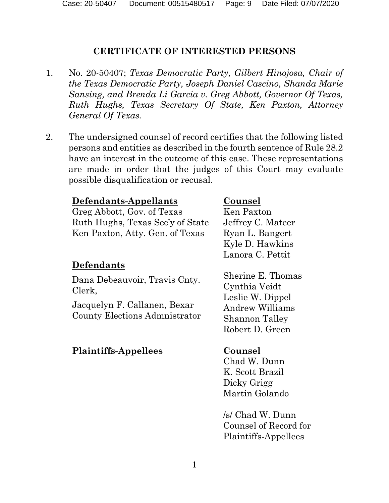## **CERTIFICATE OF INTERESTED PERSONS**

- <span id="page-8-0"></span>1. No. 20-50407; *Texas Democratic Party, Gilbert Hinojosa, Chair of the Texas Democratic Party, Joseph Daniel Cascino, Shanda Marie Sansing, and Brenda Li Garcia v. Greg Abbott, Governor Of Texas, Ruth Hughs, Texas Secretary Of State, Ken Paxton, Attorney General Of Texas.*
- 2. The undersigned counsel of record certifies that the following listed persons and entities as described in the fourth sentence of Rule 28.2 have an interest in the outcome of this case. These representations are made in order that the judges of this Court may evaluate possible disqualification or recusal.

## **Defendants-Appellants Counsel**

Greg Abbott, Gov. of Texas Ruth Hughs, Texas Sec'y of State Ken Paxton, Atty. Gen. of Texas

## **Defendants**

Dana Debeauvoir, Travis Cnty. Clerk,

Jacquelyn F. Callanen, Bexar County Elections Admnistrator

## **Plaintiffs-Appellees Counsel**

Ken Paxton Jeffrey C. Mateer Ryan L. Bangert Kyle D. Hawkins Lanora C. Pettit

Sherine E. Thomas Cynthia Veidt Leslie W. Dippel Andrew Williams Shannon Talley Robert D. Green

Chad W. Dunn K. Scott Brazil Dicky Grigg Martin Golando

/s/ Chad W. Dunn Counsel of Record for Plaintiffs-Appellees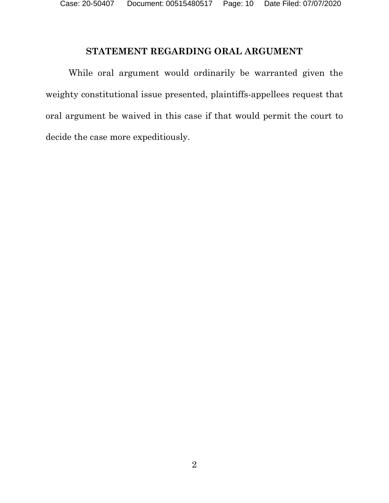# **STATEMENT REGARDING ORAL ARGUMENT**

<span id="page-9-0"></span>While oral argument would ordinarily be warranted given the weighty constitutional issue presented, plaintiffs-appellees request that oral argument be waived in this case if that would permit the court to decide the case more expeditiously.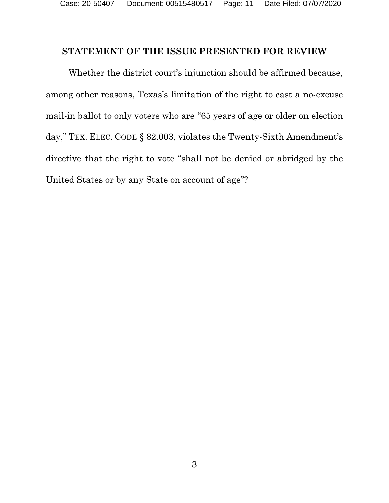## <span id="page-10-0"></span>**STATEMENT OF THE ISSUE PRESENTED FOR REVIEW**

Whether the district court's injunction should be affirmed because, among other reasons, Texas's limitation of the right to cast a no-excuse mail-in ballot to only voters who are "65 years of age or older on election day," TEX. ELEC. CODE § 82.003, violates the Twenty-Sixth Amendment's directive that the right to vote "shall not be denied or abridged by the United States or by any State on account of age"?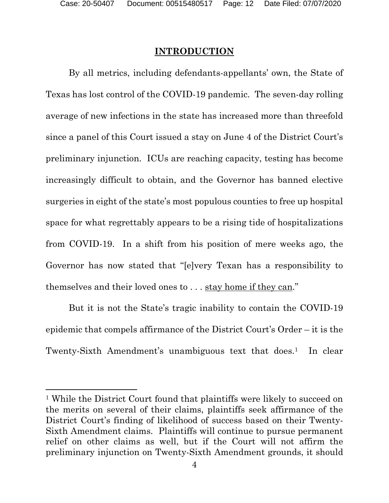## **INTRODUCTION**

<span id="page-11-0"></span>By all metrics, including defendants-appellants' own, the State of Texas has lost control of the COVID-19 pandemic. The seven-day rolling average of new infections in the state has increased more than threefold since a panel of this Court issued a stay on June 4 of the District Court's preliminary injunction. ICUs are reaching capacity, testing has become increasingly difficult to obtain, and the Governor has banned elective surgeries in eight of the state's most populous counties to free up hospital space for what regrettably appears to be a rising tide of hospitalizations from COVID-19. In a shift from his position of mere weeks ago, the Governor has now stated that "[e]very Texan has a responsibility to themselves and their loved ones to . . . stay home if they can."

But it is not the State's tragic inability to contain the COVID-19 epidemic that compels affirmance of the District Court's Order – it is the Twenty-Sixth Amendment's unambiguous text that does.<sup>[1](#page-11-1)</sup> In clear

<span id="page-11-1"></span><sup>1</sup> While the District Court found that plaintiffs were likely to succeed on the merits on several of their claims, plaintiffs seek affirmance of the District Court's finding of likelihood of success based on their Twenty-Sixth Amendment claims. Plaintiffs will continue to pursue permanent relief on other claims as well, but if the Court will not affirm the preliminary injunction on Twenty-Sixth Amendment grounds, it should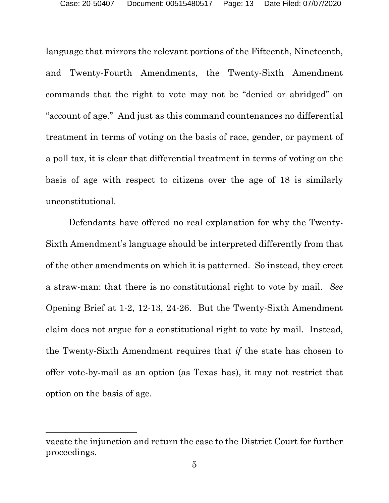language that mirrors the relevant portions of the Fifteenth, Nineteenth, and Twenty-Fourth Amendments, the Twenty-Sixth Amendment commands that the right to vote may not be "denied or abridged" on "account of age." And just as this command countenances no differential treatment in terms of voting on the basis of race, gender, or payment of a poll tax, it is clear that differential treatment in terms of voting on the basis of age with respect to citizens over the age of 18 is similarly unconstitutional.

Defendants have offered no real explanation for why the Twenty-Sixth Amendment's language should be interpreted differently from that of the other amendments on which it is patterned. So instead, they erect a straw-man: that there is no constitutional right to vote by mail. *See*  Opening Brief at 1-2, 12-13, 24-26. But the Twenty-Sixth Amendment claim does not argue for a constitutional right to vote by mail. Instead, the Twenty-Sixth Amendment requires that *if* the state has chosen to offer vote-by-mail as an option (as Texas has), it may not restrict that option on the basis of age.

vacate the injunction and return the case to the District Court for further proceedings.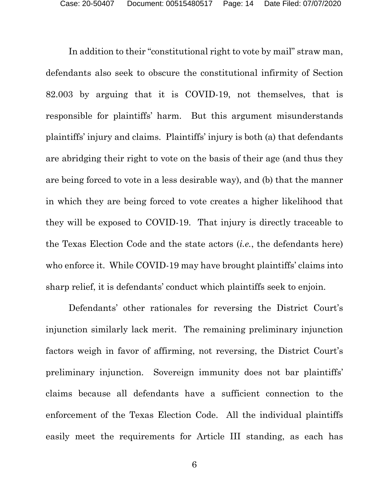In addition to their "constitutional right to vote by mail" straw man, defendants also seek to obscure the constitutional infirmity of Section 82.003 by arguing that it is COVID-19, not themselves, that is responsible for plaintiffs' harm. But this argument misunderstands plaintiffs' injury and claims. Plaintiffs' injury is both (a) that defendants are abridging their right to vote on the basis of their age (and thus they are being forced to vote in a less desirable way), and (b) that the manner in which they are being forced to vote creates a higher likelihood that they will be exposed to COVID-19. That injury is directly traceable to the Texas Election Code and the state actors (*i.e.*, the defendants here) who enforce it. While COVID-19 may have brought plaintiffs' claims into sharp relief, it is defendants' conduct which plaintiffs seek to enjoin.

Defendants' other rationales for reversing the District Court's injunction similarly lack merit. The remaining preliminary injunction factors weigh in favor of affirming, not reversing, the District Court's preliminary injunction. Sovereign immunity does not bar plaintiffs' claims because all defendants have a sufficient connection to the enforcement of the Texas Election Code. All the individual plaintiffs easily meet the requirements for Article III standing, as each has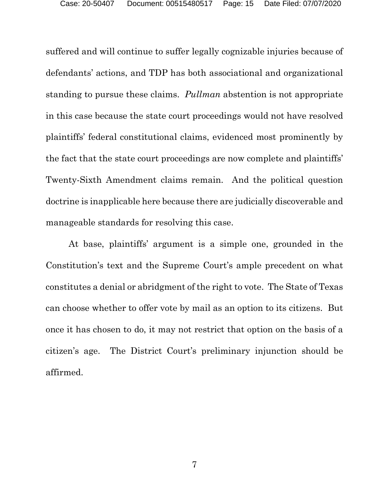suffered and will continue to suffer legally cognizable injuries because of defendants' actions, and TDP has both associational and organizational standing to pursue these claims. *Pullman* abstention is not appropriate in this case because the state court proceedings would not have resolved plaintiffs' federal constitutional claims, evidenced most prominently by the fact that the state court proceedings are now complete and plaintiffs' Twenty-Sixth Amendment claims remain. And the political question doctrine is inapplicable here because there are judicially discoverable and manageable standards for resolving this case.

At base, plaintiffs' argument is a simple one, grounded in the Constitution's text and the Supreme Court's ample precedent on what constitutes a denial or abridgment of the right to vote. The State of Texas can choose whether to offer vote by mail as an option to its citizens. But once it has chosen to do, it may not restrict that option on the basis of a citizen's age. The District Court's preliminary injunction should be affirmed.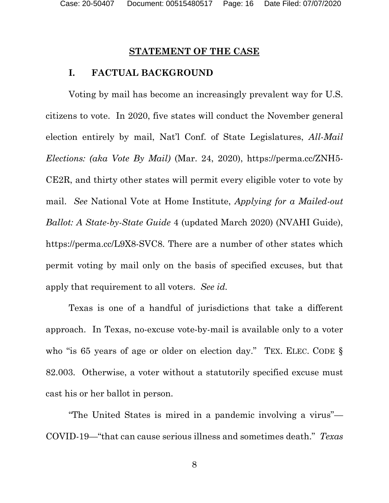# **STATEMENT OF THE CASE**

### <span id="page-15-0"></span>**I. FACTUAL BACKGROUND**

<span id="page-15-1"></span>Voting by mail has become an increasingly prevalent way for U.S. citizens to vote. In 2020, five states will conduct the November general election entirely by mail, Nat'l Conf. of State Legislatures, *All-Mail Elections: (aka Vote By Mail)* (Mar. 24, 2020), https://perma.cc/ZNH5- CE2R, and thirty other states will permit every eligible voter to vote by mail. *See* National Vote at Home Institute, *Applying for a Mailed-out Ballot: A State-by-State Guide* 4 (updated March 2020) (NVAHI Guide), https://perma.cc/L9X8-SVC8. There are a number of other states which permit voting by mail only on the basis of specified excuses, but that apply that requirement to all voters. *See id.*

Texas is one of a handful of jurisdictions that take a different approach. In Texas, no-excuse vote-by-mail is available only to a voter who "is 65 years of age or older on election day." TEX. ELEC. CODE § 82.003. Otherwise, a voter without a statutorily specified excuse must cast his or her ballot in person.

"The United States is mired in a pandemic involving a virus"— COVID-19—"that can cause serious illness and sometimes death." *Texas*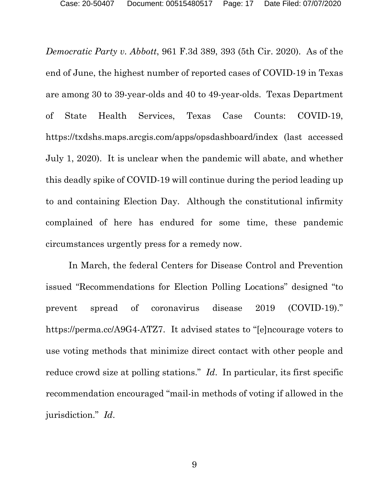*Democratic Party v. Abbott*, 961 F.3d 389, 393 (5th Cir. 2020). As of the end of June, the highest number of reported cases of COVID-19 in Texas are among 30 to 39-year-olds and 40 to 49-year-olds. Texas Department of State Health Services, Texas Case Counts: COVID-19, [https://txdshs.maps.arcgis.com/apps/opsdashboard/index](about:blank) (last accessed July 1, 2020). It is unclear when the pandemic will abate, and whether this deadly spike of COVID-19 will continue during the period leading up to and containing Election Day. Although the constitutional infirmity complained of here has endured for some time, these pandemic circumstances urgently press for a remedy now.

In March, the federal Centers for Disease Control and Prevention issued "Recommendations for Election Polling Locations" designed "to prevent spread of coronavirus disease 2019 (COVID-19)." https://perma.cc/A9G4-ATZ7. It advised states to "[e]ncourage voters to use voting methods that minimize direct contact with other people and reduce crowd size at polling stations." *Id*. In particular, its first specific recommendation encouraged "mail-in methods of voting if allowed in the jurisdiction." *Id*.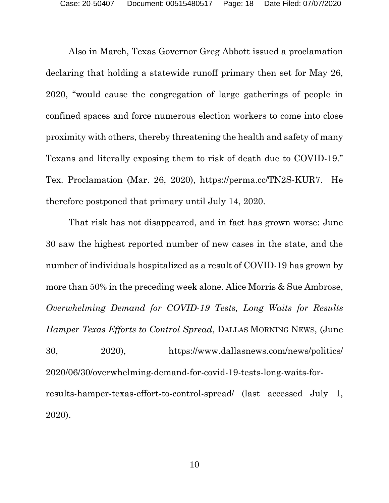Also in March, Texas Governor Greg Abbott issued a proclamation declaring that holding a statewide runoff primary then set for May 26, 2020, "would cause the congregation of large gatherings of people in confined spaces and force numerous election workers to come into close proximity with others, thereby threatening the health and safety of many Texans and literally exposing them to risk of death due to COVID-19." Tex. Proclamation (Mar. 26, 2020), https://perma.cc/TN2S-KUR7. He therefore postponed that primary until July 14, 2020.

That risk has not disappeared, and in fact has grown worse: June 30 saw the highest reported number of new cases in the state, and the number of individuals hospitalized as a result of COVID-19 has grown by more than 50% in the preceding week alone. Alice Morris & Sue Ambrose, *Overwhelming Demand for COVID-19 Tests, Long Waits for Results Hamper Texas Efforts to Control Spread*, DALLAS MORNING NEWS, (June 30, 2020), [https://www.dallasnews.com/news/politics/](about:blank)  [2020/06/30/overwhelming-demand-for-covid-19-tests-long-waits-for](about:blank)[results-hamper-texas-effort-to-control-spread/](about:blank) (last accessed July 1, 2020).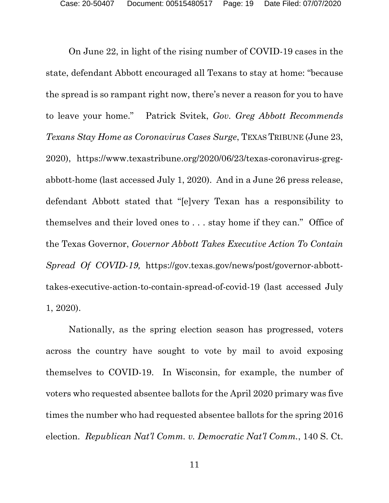On June 22, in light of the rising number of COVID-19 cases in the state, defendant Abbott encouraged all Texans to stay at home: "because the spread is so rampant right now, there's never a reason for you to have to leave your home." Patrick Svitek, *Gov. Greg Abbott Recommends Texans Stay Home as Coronavirus Cases Surge*, TEXAS TRIBUNE (June 23, 2020), [https://www.texastribune.org/2020/06/23/texas-coronavirus-greg](about:blank)[abbott-home](about:blank) (last accessed July 1, 2020). And in a June 26 press release, defendant Abbott stated that "[e]very Texan has a responsibility to themselves and their loved ones to . . . stay home if they can." Office of the Texas Governor, *Governor Abbott Takes Executive Action To Contain Spread Of COVID-19,* [https://gov.texas.gov/news/post/governor-abbott](about:blank)[takes-executive-action-to-contain-spread-of-covid-19](about:blank) (last accessed July 1, 2020).

Nationally, as the spring election season has progressed, voters across the country have sought to vote by mail to avoid exposing themselves to COVID-19. In Wisconsin, for example, the number of voters who requested absentee ballots for the April 2020 primary was five times the number who had requested absentee ballots for the spring 2016 election. *Republican Nat'l Comm. v. Democratic Nat'l Comm.*, 140 S. Ct.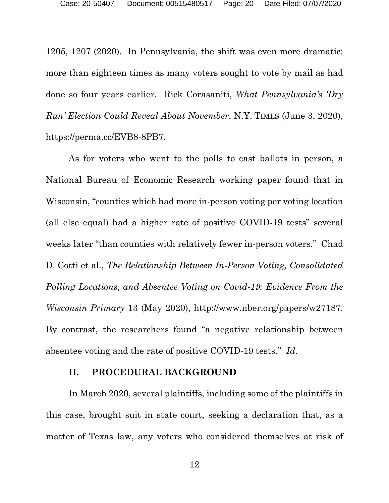1205, 1207 (2020). In Pennsylvania, the shift was even more dramatic: more than eighteen times as many voters sought to vote by mail as had done so four years earlier. Rick Corasaniti, *What Pennsylvania's 'Dry Run' Election Could Reveal About November*, N.Y. TIMES (June 3, 2020), https://perma.cc/EVB8-8PB7.

As for voters who went to the polls to cast ballots in person, a National Bureau of Economic Research working paper found that in Wisconsin, "counties which had more in-person voting per voting location (all else equal) had a higher rate of positive COVID-19 tests" several weeks later "than counties with relatively fewer in-person voters." Chad D. Cotti et al., *The Relationship Between In-Person Voting, Consolidated Polling Locations, and Absentee Voting on Covid-19: Evidence From the Wisconsin Primary* 13 (May 2020), http://www.nber.org/papers/w27187. By contrast, the researchers found "a negative relationship between absentee voting and the rate of positive COVID-19 tests." *Id*.

## **II. PROCEDURAL BACKGROUND**

<span id="page-19-0"></span>In March 2020, several plaintiffs, including some of the plaintiffs in this case, brought suit in state court, seeking a declaration that, as a matter of Texas law, any voters who considered themselves at risk of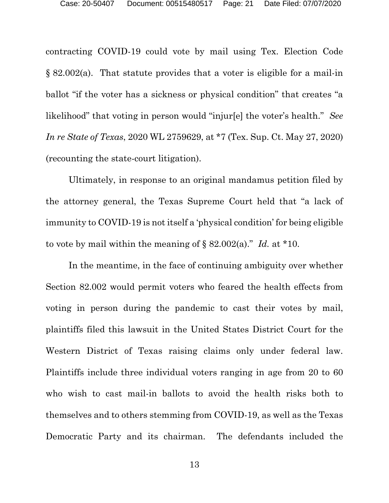contracting COVID-19 could vote by mail using Tex. Election Code § 82.002(a). That statute provides that a voter is eligible for a mail-in ballot "if the voter has a sickness or physical condition" that creates "a likelihood" that voting in person would "injur[e] the voter's health." *See In re State of Texas*, 2020 WL 2759629, at \*7 (Tex. Sup. Ct. May 27, 2020) (recounting the state-court litigation).

Ultimately, in response to an original mandamus petition filed by the attorney general, the Texas Supreme Court held that "a lack of immunity to COVID-19 is not itself a 'physical condition' for being eligible to vote by mail within the meaning of § 82.002(a)." *Id.* at \*10.

In the meantime, in the face of continuing ambiguity over whether Section 82.002 would permit voters who feared the health effects from voting in person during the pandemic to cast their votes by mail, plaintiffs filed this lawsuit in the United States District Court for the Western District of Texas raising claims only under federal law. Plaintiffs include three individual voters ranging in age from 20 to 60 who wish to cast mail-in ballots to avoid the health risks both to themselves and to others stemming from COVID-19, as well as the Texas Democratic Party and its chairman. The defendants included the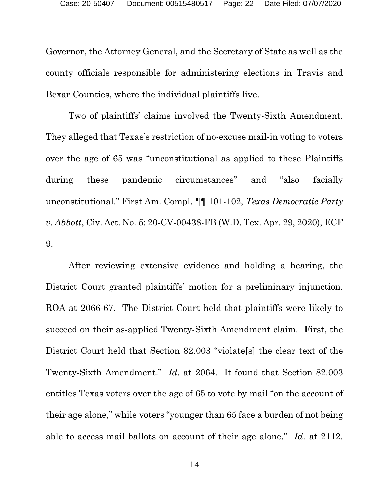Governor, the Attorney General, and the Secretary of State as well as the county officials responsible for administering elections in Travis and Bexar Counties, where the individual plaintiffs live.

Two of plaintiffs' claims involved the Twenty-Sixth Amendment. They alleged that Texas's restriction of no-excuse mail-in voting to voters over the age of 65 was "unconstitutional as applied to these Plaintiffs during these pandemic circumstances" and "also facially unconstitutional." First Am. Compl. ¶¶ 101-102, *Texas Democratic Party v. Abbott*, Civ. Act. No. 5: 20-CV-00438-FB (W.D. Tex. Apr. 29, 2020), ECF 9.

After reviewing extensive evidence and holding a hearing, the District Court granted plaintiffs' motion for a preliminary injunction. ROA at 2066-67. The District Court held that plaintiffs were likely to succeed on their as-applied Twenty-Sixth Amendment claim. First, the District Court held that Section 82.003 "violate[s] the clear text of the Twenty-Sixth Amendment." *Id*. at 2064. It found that Section 82.003 entitles Texas voters over the age of 65 to vote by mail "on the account of their age alone," while voters "younger than 65 face a burden of not being able to access mail ballots on account of their age alone." *Id*. at 2112.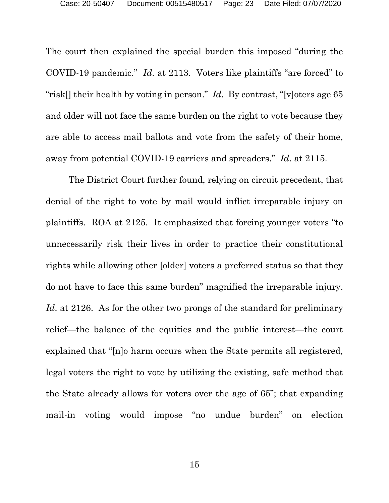The court then explained the special burden this imposed "during the COVID-19 pandemic." *Id*. at 2113. Voters like plaintiffs "are forced" to "risk[] their health by voting in person." *Id*. By contrast, "[v]oters age 65 and older will not face the same burden on the right to vote because they are able to access mail ballots and vote from the safety of their home, away from potential COVID-19 carriers and spreaders." *Id*. at 2115.

The District Court further found, relying on circuit precedent, that denial of the right to vote by mail would inflict irreparable injury on plaintiffs. ROA at 2125. It emphasized that forcing younger voters "to unnecessarily risk their lives in order to practice their constitutional rights while allowing other [older] voters a preferred status so that they do not have to face this same burden" magnified the irreparable injury. *Id*. at 2126. As for the other two prongs of the standard for preliminary relief—the balance of the equities and the public interest—the court explained that "[n]o harm occurs when the State permits all registered, legal voters the right to vote by utilizing the existing, safe method that the State already allows for voters over the age of 65"; that expanding mail-in voting would impose "no undue burden" on election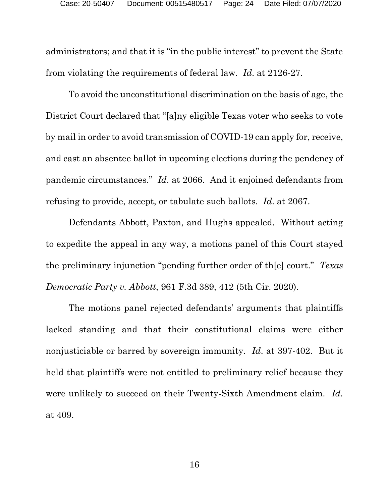administrators; and that it is "in the public interest" to prevent the State from violating the requirements of federal law. *Id*. at 2126-27.

To avoid the unconstitutional discrimination on the basis of age, the District Court declared that "[a]ny eligible Texas voter who seeks to vote by mail in order to avoid transmission of COVID-19 can apply for, receive, and cast an absentee ballot in upcoming elections during the pendency of pandemic circumstances." *Id*. at 2066. And it enjoined defendants from refusing to provide, accept, or tabulate such ballots. *Id*. at 2067.

Defendants Abbott, Paxton, and Hughs appealed. Without acting to expedite the appeal in any way, a motions panel of this Court stayed the preliminary injunction "pending further order of th[e] court." *Texas Democratic Party v. Abbott*, 961 F.3d 389, 412 (5th Cir. 2020).

The motions panel rejected defendants' arguments that plaintiffs lacked standing and that their constitutional claims were either nonjusticiable or barred by sovereign immunity. *Id*. at 397-402. But it held that plaintiffs were not entitled to preliminary relief because they were unlikely to succeed on their Twenty-Sixth Amendment claim. *Id*. at 409.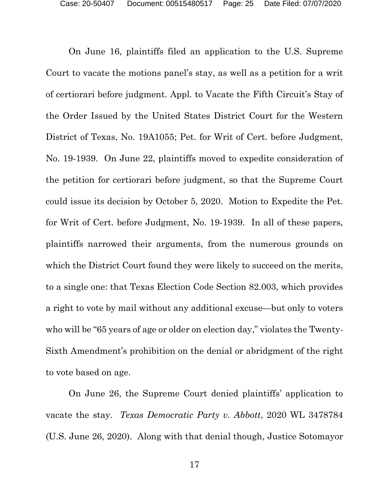On June 16, plaintiffs filed an application to the U.S. Supreme Court to vacate the motions panel's stay, as well as a petition for a writ of certiorari before judgment. Appl. to Vacate the Fifth Circuit's Stay of the Order Issued by the United States District Court for the Western District of Texas, No. 19A1055; Pet. for Writ of Cert. before Judgment, No. 19-1939. On June 22, plaintiffs moved to expedite consideration of the petition for certiorari before judgment, so that the Supreme Court could issue its decision by October 5, 2020. Motion to Expedite the Pet. for Writ of Cert. before Judgment, No. 19-1939. In all of these papers, plaintiffs narrowed their arguments, from the numerous grounds on which the District Court found they were likely to succeed on the merits, to a single one: that Texas Election Code Section 82.003, which provides a right to vote by mail without any additional excuse—but only to voters who will be "65 years of age or older on election day," violates the Twenty-Sixth Amendment's prohibition on the denial or abridgment of the right to vote based on age.

On June 26, the Supreme Court denied plaintiffs' application to vacate the stay. *Texas Democratic Party v. Abbott*, 2020 WL 3478784 (U.S. June 26, 2020). Along with that denial though, Justice Sotomayor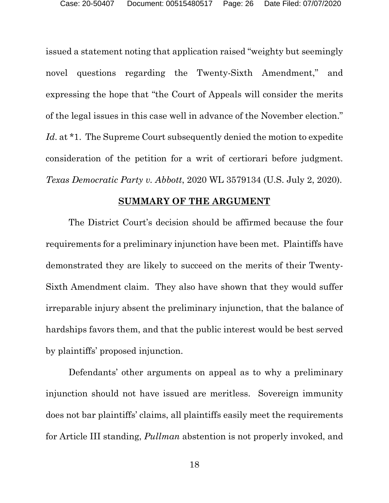issued a statement noting that application raised "weighty but seemingly novel questions regarding the Twenty-Sixth Amendment," and expressing the hope that "the Court of Appeals will consider the merits of the legal issues in this case well in advance of the November election." *Id.* at \*1. The Supreme Court subsequently denied the motion to expedite consideration of the petition for a writ of certiorari before judgment. *Texas Democratic Party v. Abbott*, 2020 WL 3579134 (U.S. July 2, 2020).

## **SUMMARY OF THE ARGUMENT**

<span id="page-25-0"></span>The District Court's decision should be affirmed because the four requirements for a preliminary injunction have been met. Plaintiffs have demonstrated they are likely to succeed on the merits of their Twenty-Sixth Amendment claim. They also have shown that they would suffer irreparable injury absent the preliminary injunction, that the balance of hardships favors them, and that the public interest would be best served by plaintiffs' proposed injunction.

Defendants' other arguments on appeal as to why a preliminary injunction should not have issued are meritless. Sovereign immunity does not bar plaintiffs' claims, all plaintiffs easily meet the requirements for Article III standing, *Pullman* abstention is not properly invoked, and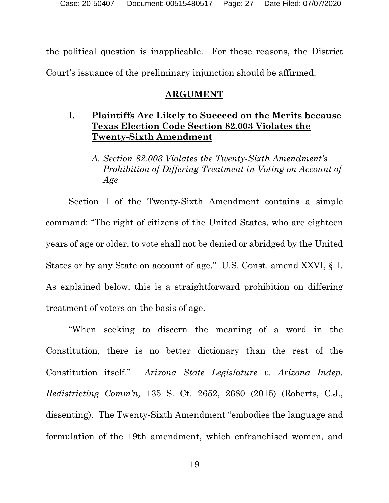the political question is inapplicable. For these reasons, the District Court's issuance of the preliminary injunction should be affirmed.

# **ARGUMENT**

# <span id="page-26-1"></span><span id="page-26-0"></span>**I. Plaintiffs Are Likely to Succeed on the Merits because Texas Election Code Section 82.003 Violates the Twenty-Sixth Amendment**

*A. Section 82.003 Violates the Twenty-Sixth Amendment's Prohibition of Differing Treatment in Voting on Account of Age*

Section 1 of the Twenty-Sixth Amendment contains a simple command: "The right of citizens of the United States, who are eighteen years of age or older, to vote shall not be denied or abridged by the United States or by any State on account of age." U.S. Const. amend XXVI, § 1. As explained below, this is a straightforward prohibition on differing treatment of voters on the basis of age.

"When seeking to discern the meaning of a word in the Constitution, there is no better dictionary than the rest of the Constitution itself." *Arizona State Legislature v. Arizona Indep. Redistricting Comm'n,* 135 S. Ct. 2652, 2680 (2015) (Roberts, C.J., dissenting). The Twenty-Sixth Amendment "embodies the language and formulation of the 19th amendment, which enfranchised women, and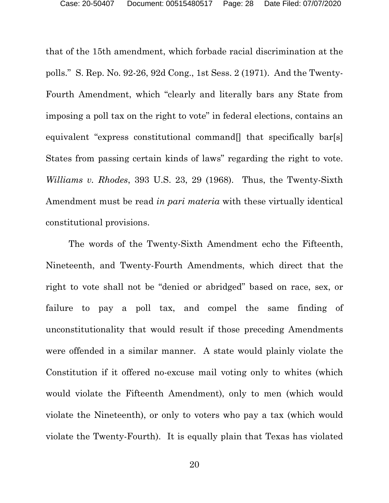that of the 15th amendment, which forbade racial discrimination at the polls." S. Rep. No. 92-26, 92d Cong., 1st Sess. 2 (1971). And the Twenty-Fourth Amendment, which "clearly and literally bars any State from imposing a poll tax on the right to vote" in federal elections, contains an equivalent "express constitutional command<sup>[]</sup> that specifically bar[s] States from passing certain kinds of laws" regarding the right to vote. *Williams v. Rhodes*, 393 U.S. 23, 29 (1968). Thus, the Twenty-Sixth Amendment must be read *in pari materia* with these virtually identical constitutional provisions.

The words of the Twenty-Sixth Amendment echo the Fifteenth, Nineteenth, and Twenty-Fourth Amendments, which direct that the right to vote shall not be "denied or abridged" based on race, sex, or failure to pay a poll tax, and compel the same finding of unconstitutionality that would result if those preceding Amendments were offended in a similar manner. A state would plainly violate the Constitution if it offered no-excuse mail voting only to whites (which would violate the Fifteenth Amendment), only to men (which would violate the Nineteenth), or only to voters who pay a tax (which would violate the Twenty-Fourth). It is equally plain that Texas has violated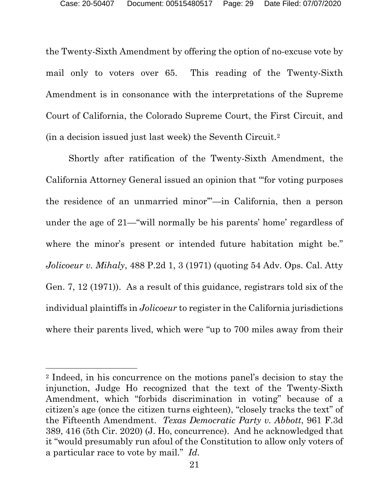the Twenty-Sixth Amendment by offering the option of no-excuse vote by mail only to voters over 65. This reading of the Twenty-Sixth Amendment is in consonance with the interpretations of the Supreme Court of California, the Colorado Supreme Court, the First Circuit, and (in a decision issued just last week) the Seventh Circuit.[2](#page-28-0)

Shortly after ratification of the Twenty-Sixth Amendment, the California Attorney General issued an opinion that "'for voting purposes the residence of an unmarried minor'"—in California, then a person under the age of 21—"will normally be his parents' home' regardless of where the minor's present or intended future habitation might be." *Jolicoeur v. Mihaly*, 488 P.2d 1, 3 (1971) (quoting 54 Adv. Ops. Cal. Atty Gen. 7, 12 (1971)). As a result of this guidance, registrars told six of the individual plaintiffs in *Jolicoeur* to register in the California jurisdictions where their parents lived, which were "up to 700 miles away from their

<span id="page-28-0"></span><sup>2</sup> Indeed, in his concurrence on the motions panel's decision to stay the injunction, Judge Ho recognized that the text of the Twenty-Sixth Amendment, which "forbids discrimination in voting" because of a citizen's age (once the citizen turns eighteen), "closely tracks the text" of the Fifteenth Amendment. *Texas Democratic Party v. Abbott*, 961 F.3d 389, 416 (5th Cir. 2020) (J. Ho, concurrence). And he acknowledged that it "would presumably run afoul of the Constitution to allow only voters of a particular race to vote by mail." *Id*.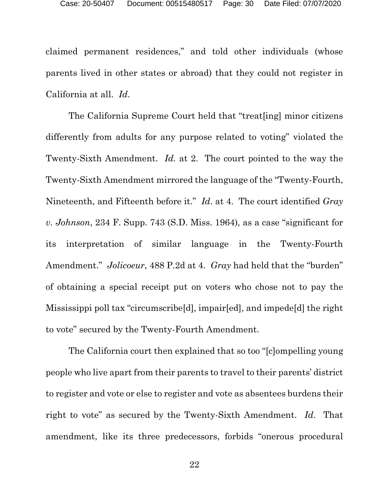claimed permanent residences," and told other individuals (whose parents lived in other states or abroad) that they could not register in California at all. *Id*.

The California Supreme Court held that "treat[ing] minor citizens differently from adults for any purpose related to voting" violated the Twenty-Sixth Amendment. *Id.* at 2. The court pointed to the way the Twenty-Sixth Amendment mirrored the language of the "Twenty-Fourth, Nineteenth, and Fifteenth before it." *Id*. at 4. The court identified *Gray v. Johnson*, 234 F. Supp. 743 (S.D. Miss. 1964), as a case "significant for its interpretation of similar language in the Twenty-Fourth Amendment." *Jolicoeur*, 488 P.2d at 4. *Gray* had held that the "burden" of obtaining a special receipt put on voters who chose not to pay the Mississippi poll tax "circumscribe[d], impair[ed], and impede[d] the right to vote" secured by the Twenty-Fourth Amendment.

The California court then explained that so too "[c]ompelling young people who live apart from their parents to travel to their parents' district to register and vote or else to register and vote as absentees burdens their right to vote" as secured by the Twenty-Sixth Amendment. *Id*. That amendment, like its three predecessors, forbids "onerous procedural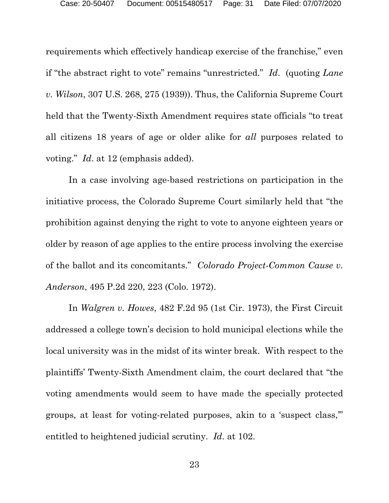requirements which effectively handicap exercise of the franchise," even if "the abstract right to vote" remains "unrestricted." *Id*. (quoting *Lane v. Wilson*, 307 U.S. 268, 275 (1939)). Thus, the California Supreme Court held that the Twenty-Sixth Amendment requires state officials "to treat all citizens 18 years of age or older alike for *all* purposes related to voting." *Id*. at 12 (emphasis added).

In a case involving age-based restrictions on participation in the initiative process, the Colorado Supreme Court similarly held that "the prohibition against denying the right to vote to anyone eighteen years or older by reason of age applies to the entire process involving the exercise of the ballot and its concomitants." *Colorado Project-Common Cause v. Anderson*, 495 P.2d 220, 223 (Colo. 1972).

In *Walgren v. Howes*, 482 F.2d 95 (1st Cir. 1973), the First Circuit addressed a college town's decision to hold municipal elections while the local university was in the midst of its winter break. With respect to the plaintiffs' Twenty-Sixth Amendment claim, the court declared that "the voting amendments would seem to have made the specially protected groups, at least for voting-related purposes, akin to a 'suspect class,'" entitled to heightened judicial scrutiny. *Id*. at 102.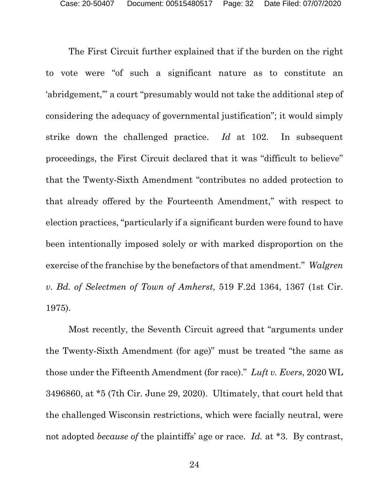The First Circuit further explained that if the burden on the right to vote were "of such a significant nature as to constitute an 'abridgement,'" a court "presumably would not take the additional step of considering the adequacy of governmental justification"; it would simply strike down the challenged practice. *Id* at 102. In subsequent proceedings, the First Circuit declared that it was "difficult to believe" that the Twenty-Sixth Amendment "contributes no added protection to that already offered by the Fourteenth Amendment," with respect to election practices, "particularly if a significant burden were found to have been intentionally imposed solely or with marked disproportion on the exercise of the franchise by the benefactors of that amendment." *Walgren v. Bd. of Selectmen of Town of Amherst*, 519 F.2d 1364, 1367 (1st Cir. 1975).

Most recently, the Seventh Circuit agreed that "arguments under the Twenty-Sixth Amendment (for age)" must be treated "the same as those under the Fifteenth Amendment (for race)." *Luft v. Evers*, 2020 WL 3496860, at \*5 (7th Cir. June 29, 2020). Ultimately, that court held that the challenged Wisconsin restrictions, which were facially neutral, were not adopted *because of* the plaintiffs' age or race. *Id.* at \*3. By contrast,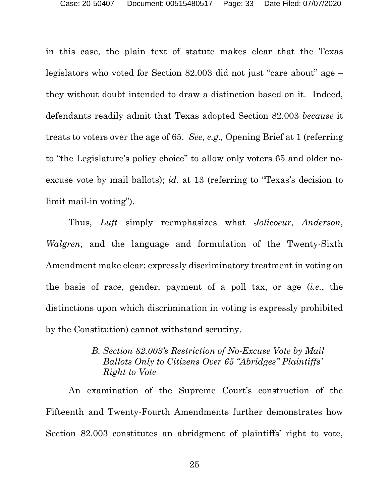in this case, the plain text of statute makes clear that the Texas legislators who voted for Section 82.003 did not just "care about" age – they without doubt intended to draw a distinction based on it. Indeed, defendants readily admit that Texas adopted Section 82.003 *because* it treats to voters over the age of 65. *See, e.g.,* Opening Brief at 1 (referring to "the Legislature's policy choice" to allow only voters 65 and older noexcuse vote by mail ballots); *id*. at 13 (referring to "Texas's decision to limit mail-in voting").

Thus, *Luft* simply reemphasizes what *Jolicoeur*, *Anderson*, *Walgren*, and the language and formulation of the Twenty-Sixth Amendment make clear: expressly discriminatory treatment in voting on the basis of race, gender, payment of a poll tax, or age (*i.e.*, the distinctions upon which discrimination in voting is expressly prohibited by the Constitution) cannot withstand scrutiny.

# *B. Section 82.003's Restriction of No-Excuse Vote by Mail Ballots Only to Citizens Over 65 "Abridges" Plaintiffs' Right to Vote*

An examination of the Supreme Court's construction of the Fifteenth and Twenty-Fourth Amendments further demonstrates how Section 82.003 constitutes an abridgment of plaintiffs' right to vote,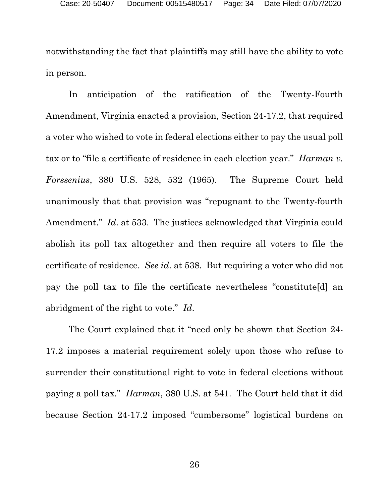notwithstanding the fact that plaintiffs may still have the ability to vote in person.

In anticipation of the ratification of the Twenty-Fourth Amendment, Virginia enacted a provision, Section 24-17.2, that required a voter who wished to vote in federal elections either to pay the usual poll tax or to "file a certificate of residence in each election year." *Harman v. Forssenius*, 380 U.S. 528, 532 (1965). The Supreme Court held unanimously that that provision was "repugnant to the Twenty-fourth Amendment." *Id*. at 533. The justices acknowledged that Virginia could abolish its poll tax altogether and then require all voters to file the certificate of residence. *See id*. at 538. But requiring a voter who did not pay the poll tax to file the certificate nevertheless "constitute[d] an abridgment of the right to vote." *Id*.

The Court explained that it "need only be shown that Section 24- 17.2 imposes a material requirement solely upon those who refuse to surrender their constitutional right to vote in federal elections without paying a poll tax." *Harman*, 380 U.S. at 541. The Court held that it did because Section 24-17.2 imposed "cumbersome" logistical burdens on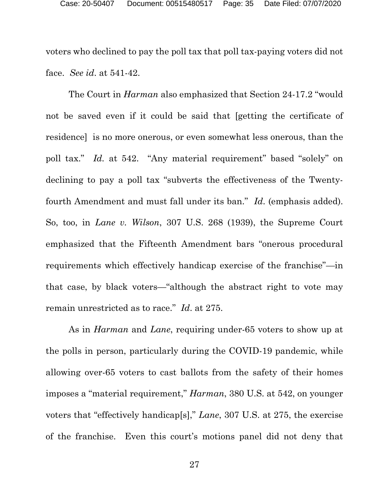voters who declined to pay the poll tax that poll tax-paying voters did not face. *See id*. at 541-42.

The Court in *Harman* also emphasized that Section 24-17.2 "would not be saved even if it could be said that [getting the certificate of residence] is no more onerous, or even somewhat less onerous, than the poll tax." *Id.* at 542. "Any material requirement" based "solely" on declining to pay a poll tax "subverts the effectiveness of the Twentyfourth Amendment and must fall under its ban." *Id*. (emphasis added). So, too, in *Lane v. Wilson*, 307 U.S. 268 (1939), the Supreme Court emphasized that the Fifteenth Amendment bars "onerous procedural requirements which effectively handicap exercise of the franchise"—in that case, by black voters—"although the abstract right to vote may remain unrestricted as to race." *Id*. at 275.

As in *Harman* and *Lane*, requiring under-65 voters to show up at the polls in person, particularly during the COVID-19 pandemic, while allowing over-65 voters to cast ballots from the safety of their homes imposes a "material requirement," *Harman*, 380 U.S. at 542, on younger voters that "effectively handicap[s]," *Lane*, 307 U.S. at 275, the exercise of the franchise. Even this court's motions panel did not deny that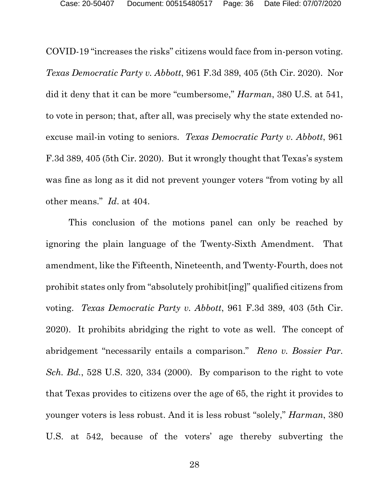COVID-19 "increases the risks" citizens would face from in-person voting. *Texas Democratic Party v. Abbott*, 961 F.3d 389, 405 (5th Cir. 2020). Nor did it deny that it can be more "cumbersome," *Harman*, 380 U.S. at 541, to vote in person; that, after all, was precisely why the state extended noexcuse mail-in voting to seniors. *Texas Democratic Party v. Abbott*, 961 F.3d 389, 405 (5th Cir. 2020). But it wrongly thought that Texas's system was fine as long as it did not prevent younger voters "from voting by all other means." *Id*. at 404.

This conclusion of the motions panel can only be reached by ignoring the plain language of the Twenty-Sixth Amendment. That amendment, like the Fifteenth, Nineteenth, and Twenty-Fourth, does not prohibit states only from "absolutely prohibit[ing]" qualified citizens from voting. *Texas Democratic Party v. Abbott*, 961 F.3d 389, 403 (5th Cir. 2020). It prohibits abridging the right to vote as well. The concept of abridgement "necessarily entails a comparison." *Reno v. Bossier Par. Sch. Bd.*, 528 U.S. 320, 334 (2000). By comparison to the right to vote that Texas provides to citizens over the age of 65, the right it provides to younger voters is less robust. And it is less robust "solely," *Harman*, 380 U.S. at 542, because of the voters' age thereby subverting the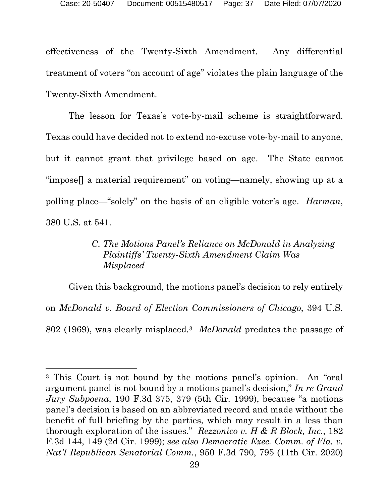effectiveness of the Twenty-Sixth Amendment. Any differential treatment of voters "on account of age" violates the plain language of the Twenty-Sixth Amendment.

The lesson for Texas's vote-by-mail scheme is straightforward. Texas could have decided not to extend no-excuse vote-by-mail to anyone, but it cannot grant that privilege based on age. The State cannot "impose[] a material requirement" on voting—namely, showing up at a polling place—"solely" on the basis of an eligible voter's age. *Harman*, 380 U.S. at 541.

# *C. The Motions Panel's Reliance on McDonald in Analyzing Plaintiffs' Twenty-Sixth Amendment Claim Was Misplaced*

Given this background, the motions panel's decision to rely entirely on *McDonald v. Board of Election Commissioners of Chicago*, 394 U.S. 802 (1969), was clearly misplaced.[3](#page-36-0) *McDonald* predates the passage of

<span id="page-36-0"></span><sup>3</sup> This Court is not bound by the motions panel's opinion. An "oral argument panel is not bound by a motions panel's decision," *In re Grand Jury Subpoena*, 190 F.3d 375, 379 (5th Cir. 1999), because "a motions panel's decision is based on an abbreviated record and made without the benefit of full briefing by the parties, which may result in a less than thorough exploration of the issues." *Rezzonico v. H & R Block, Inc.*, 182 F.3d 144, 149 (2d Cir. 1999); *see also Democratic Exec. Comm. of Fla. v. Nat'l Republican Senatorial Comm.*, 950 F.3d 790, 795 (11th Cir. 2020)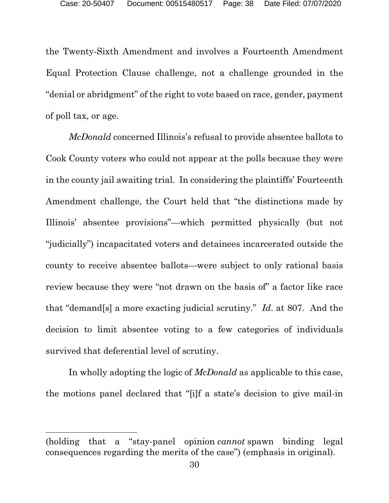the Twenty-Sixth Amendment and involves a Fourteenth Amendment Equal Protection Clause challenge, not a challenge grounded in the "denial or abridgment" of the right to vote based on race, gender, payment of poll tax, or age.

*McDonald* concerned Illinois's refusal to provide absentee ballots to Cook County voters who could not appear at the polls because they were in the county jail awaiting trial. In considering the plaintiffs' Fourteenth Amendment challenge, the Court held that "the distinctions made by Illinois' absentee provisions"—which permitted physically (but not "judicially") incapacitated voters and detainees incarcerated outside the county to receive absentee ballots—were subject to only rational basis review because they were "not drawn on the basis of" a factor like race that "demand[s] a more exacting judicial scrutiny." *Id*. at 807. And the decision to limit absentee voting to a few categories of individuals survived that deferential level of scrutiny.

In wholly adopting the logic of *McDonald* as applicable to this case, the motions panel declared that "[i]f a state's decision to give mail-in

<sup>(</sup>holding that a "stay-panel opinion *cannot* spawn binding legal consequences regarding the merits of the case") (emphasis in original).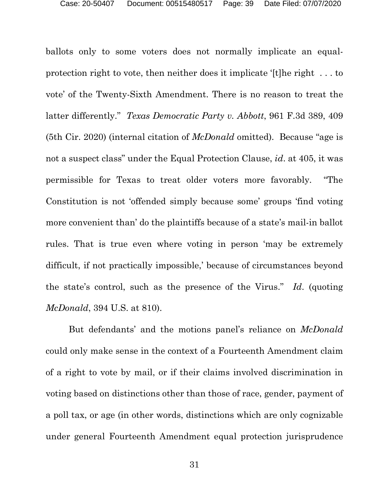ballots only to some voters does not normally implicate an equalprotection right to vote, then neither does it implicate '[t]he right . . . to vote' of the Twenty-Sixth Amendment. There is no reason to treat the latter differently." *Texas Democratic Party v. Abbott*, 961 F.3d 389, 409 (5th Cir. 2020) (internal citation of *McDonald* omitted). Because "age is not a suspect class" under the Equal Protection Clause, *id*. at 405, it was permissible for Texas to treat older voters more favorably. "The Constitution is not 'offended simply because some' groups 'find voting more convenient than' do the plaintiffs because of a state's mail-in ballot rules. That is true even where voting in person 'may be extremely difficult, if not practically impossible,' because of circumstances beyond the state's control, such as the presence of the Virus." *Id*. (quoting *McDonald*, 394 U.S. at 810).

But defendants' and the motions panel's reliance on *McDonald* could only make sense in the context of a Fourteenth Amendment claim of a right to vote by mail, or if their claims involved discrimination in voting based on distinctions other than those of race, gender, payment of a poll tax, or age (in other words, distinctions which are only cognizable under general Fourteenth Amendment equal protection jurisprudence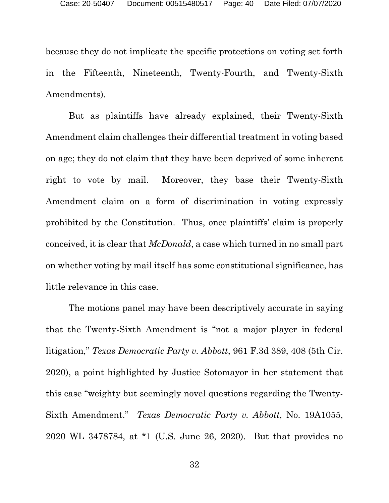because they do not implicate the specific protections on voting set forth in the Fifteenth, Nineteenth, Twenty-Fourth, and Twenty-Sixth Amendments).

But as plaintiffs have already explained, their Twenty-Sixth Amendment claim challenges their differential treatment in voting based on age; they do not claim that they have been deprived of some inherent right to vote by mail. Moreover, they base their Twenty-Sixth Amendment claim on a form of discrimination in voting expressly prohibited by the Constitution. Thus, once plaintiffs' claim is properly conceived, it is clear that *McDonald*, a case which turned in no small part on whether voting by mail itself has some constitutional significance, has little relevance in this case.

The motions panel may have been descriptively accurate in saying that the Twenty-Sixth Amendment is "not a major player in federal litigation," *Texas Democratic Party v. Abbott*, 961 F.3d 389, 408 (5th Cir. 2020), a point highlighted by Justice Sotomayor in her statement that this case "weighty but seemingly novel questions regarding the Twenty-Sixth Amendment." *Texas Democratic Party v. Abbott*, No. 19A1055, 2020 WL 3478784, at \*1 (U.S. June 26, 2020). But that provides no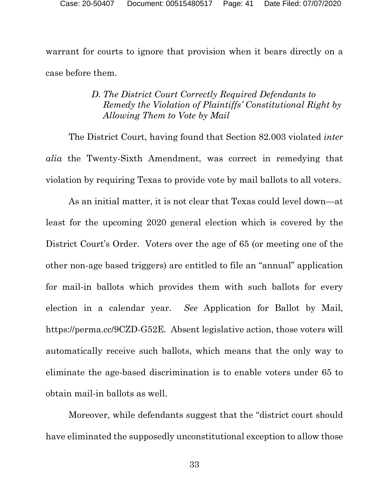warrant for courts to ignore that provision when it bears directly on a case before them.

## *D. The District Court Correctly Required Defendants to Remedy the Violation of Plaintiffs' Constitutional Right by Allowing Them to Vote by Mail*

The District Court, having found that Section 82.003 violated *inter alia* the Twenty-Sixth Amendment, was correct in remedying that violation by requiring Texas to provide vote by mail ballots to all voters.

As an initial matter, it is not clear that Texas could level down—at least for the upcoming 2020 general election which is covered by the District Court's Order. Voters over the age of 65 (or meeting one of the other non-age based triggers) are entitled to file an "annual" application for mail-in ballots which provides them with such ballots for every election in a calendar year. *See* Application for Ballot by Mail, https://perma.cc/9CZD-G52E. Absent legislative action, those voters will automatically receive such ballots, which means that the only way to eliminate the age-based discrimination is to enable voters under 65 to obtain mail-in ballots as well.

Moreover, while defendants suggest that the "district court should have eliminated the supposedly unconstitutional exception to allow those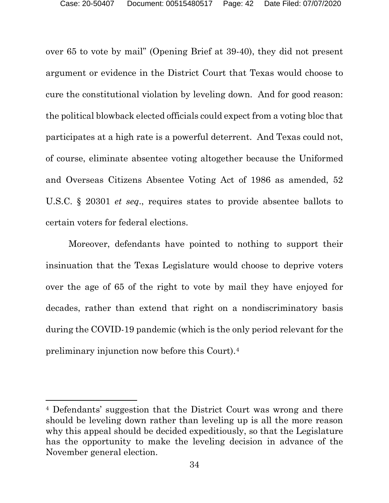over 65 to vote by mail" (Opening Brief at 39-40), they did not present argument or evidence in the District Court that Texas would choose to cure the constitutional violation by leveling down. And for good reason: the political blowback elected officials could expect from a voting bloc that participates at a high rate is a powerful deterrent. And Texas could not, of course, eliminate absentee voting altogether because the Uniformed and Overseas Citizens Absentee Voting Act of 1986 as amended, 52 U.S.C. § 20301 *et seq*., requires states to provide absentee ballots to certain voters for federal elections.

Moreover, defendants have pointed to nothing to support their insinuation that the Texas Legislature would choose to deprive voters over the age of 65 of the right to vote by mail they have enjoyed for decades, rather than extend that right on a nondiscriminatory basis during the COVID-19 pandemic (which is the only period relevant for the preliminary injunction now before this Court).[4](#page-41-0)

<span id="page-41-0"></span><sup>4</sup> Defendants' suggestion that the District Court was wrong and there should be leveling down rather than leveling up is all the more reason why this appeal should be decided expeditiously, so that the Legislature has the opportunity to make the leveling decision in advance of the November general election.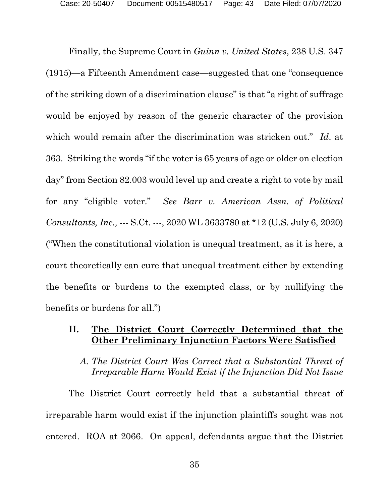Finally, the Supreme Court in *Guinn v. United States*, 238 U.S. 347 (1915)—a Fifteenth Amendment case—suggested that one "consequence of the striking down of a discrimination clause" is that "a right of suffrage would be enjoyed by reason of the generic character of the provision which would remain after the discrimination was stricken out." *Id*. at 363. Striking the words "if the voter is 65 years of age or older on election day" from Section 82.003 would level up and create a right to vote by mail for any "eligible voter." *See Barr v. American Assn. of Political Consultants, Inc.,* --- S.Ct. ---, 2020 WL 3633780 at \*12 (U.S. July 6, 2020) ("When the constitutional violation is unequal treatment, as it is here, a court theoretically can cure that unequal treatment either by extending the benefits or burdens to the exempted class, or by nullifying the benefits or burdens for all.")

## <span id="page-42-0"></span>**II. The District Court Correctly Determined that the Other Preliminary Injunction Factors Were Satisfied**

## *A. The District Court Was Correct that a Substantial Threat of Irreparable Harm Would Exist if the Injunction Did Not Issue*

The District Court correctly held that a substantial threat of irreparable harm would exist if the injunction plaintiffs sought was not entered. ROA at 2066. On appeal, defendants argue that the District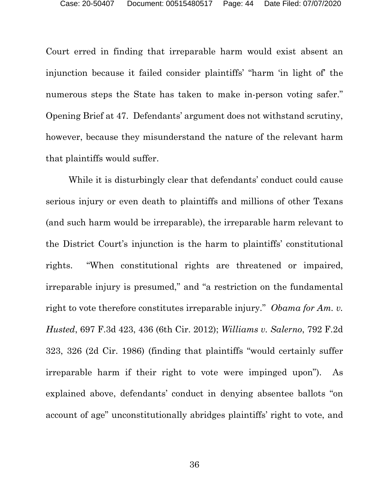Court erred in finding that irreparable harm would exist absent an injunction because it failed consider plaintiffs' "harm 'in light of' the numerous steps the State has taken to make in-person voting safer." Opening Brief at 47. Defendants' argument does not withstand scrutiny, however, because they misunderstand the nature of the relevant harm that plaintiffs would suffer.

While it is disturbingly clear that defendants' conduct could cause serious injury or even death to plaintiffs and millions of other Texans (and such harm would be irreparable), the irreparable harm relevant to the District Court's injunction is the harm to plaintiffs' constitutional rights. "When constitutional rights are threatened or impaired, irreparable injury is presumed," and "a restriction on the fundamental right to vote therefore constitutes irreparable injury." *Obama for Am. v. Husted*, 697 F.3d 423, 436 (6th Cir. 2012); *Williams v. Salerno*, 792 F.2d 323, 326 (2d Cir. 1986) (finding that plaintiffs "would certainly suffer irreparable harm if their right to vote were impinged upon"). As explained above, defendants' conduct in denying absentee ballots "on account of age" unconstitutionally abridges plaintiffs' right to vote, and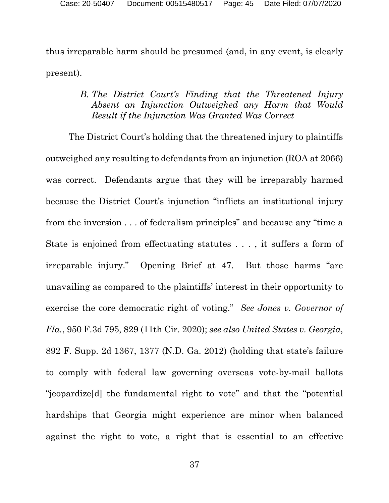thus irreparable harm should be presumed (and, in any event, is clearly present).

# *B. The District Court's Finding that the Threatened Injury Absent an Injunction Outweighed any Harm that Would Result if the Injunction Was Granted Was Correct*

The District Court's holding that the threatened injury to plaintiffs outweighed any resulting to defendants from an injunction (ROA at 2066) was correct. Defendants argue that they will be irreparably harmed because the District Court's injunction "inflicts an institutional injury from the inversion . . . of federalism principles" and because any "time a State is enjoined from effectuating statutes . . . , it suffers a form of irreparable injury." Opening Brief at 47. But those harms "are unavailing as compared to the plaintiffs' interest in their opportunity to exercise the core democratic right of voting." *See Jones v. Governor of Fla.*, 950 F.3d 795, 829 (11th Cir. 2020); *see also United States v. Georgia*, 892 F. Supp. 2d 1367, 1377 (N.D. Ga. 2012) (holding that state's failure to comply with federal law governing overseas vote-by-mail ballots "jeopardize[d] the fundamental right to vote" and that the "potential hardships that Georgia might experience are minor when balanced against the right to vote, a right that is essential to an effective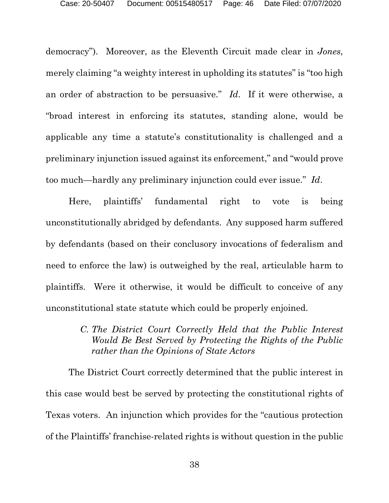democracy"). Moreover, as the Eleventh Circuit made clear in *Jones*, merely claiming "a weighty interest in upholding its statutes" is "too high an order of abstraction to be persuasive." *Id*. If it were otherwise, a "broad interest in enforcing its statutes, standing alone, would be applicable any time a statute's constitutionality is challenged and a preliminary injunction issued against its enforcement," and "would prove too much—hardly any preliminary injunction could ever issue." *Id*.

Here, plaintiffs' fundamental right to vote is being unconstitutionally abridged by defendants. Any supposed harm suffered by defendants (based on their conclusory invocations of federalism and need to enforce the law) is outweighed by the real, articulable harm to plaintiffs. Were it otherwise, it would be difficult to conceive of any unconstitutional state statute which could be properly enjoined.

## *C. The District Court Correctly Held that the Public Interest Would Be Best Served by Protecting the Rights of the Public rather than the Opinions of State Actors*

The District Court correctly determined that the public interest in this case would best be served by protecting the constitutional rights of Texas voters. An injunction which provides for the "cautious protection of the Plaintiffs' franchise-related rights is without question in the public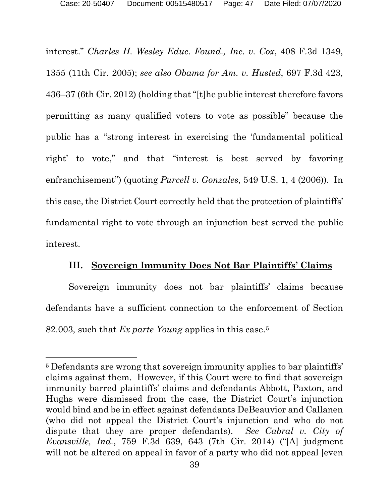interest." *Charles H. Wesley Educ. Found., Inc. v. Cox*, 408 F.3d 1349, 1355 (11th Cir. 2005); *see also Obama for Am. v. Husted*, 697 F.3d 423, 436–37 (6th Cir. 2012) (holding that "[t]he public interest therefore favors permitting as many qualified voters to vote as possible" because the public has a "strong interest in exercising the 'fundamental political right' to vote," and that "interest is best served by favoring enfranchisement") (quoting *Purcell v. Gonzales*, 549 U.S. 1, 4 (2006)). In this case, the District Court correctly held that the protection of plaintiffs' fundamental right to vote through an injunction best served the public interest.

## **III. Sovereign Immunity Does Not Bar Plaintiffs' Claims**

<span id="page-46-0"></span>Sovereign immunity does not bar plaintiffs' claims because defendants have a sufficient connection to the enforcement of Section 82.003, such that *Ex parte Young* applies in this case[.5](#page-46-1)

<span id="page-46-1"></span><sup>&</sup>lt;sup>5</sup> Defendants are wrong that sovereign immunity applies to bar plaintiffs' claims against them. However, if this Court were to find that sovereign immunity barred plaintiffs' claims and defendants Abbott, Paxton, and Hughs were dismissed from the case, the District Court's injunction would bind and be in effect against defendants DeBeauvior and Callanen (who did not appeal the District Court's injunction and who do not dispute that they are proper defendants). *See Cabral v. City of Evansville, Ind.*, 759 F.3d 639, 643 (7th Cir. 2014) ("[A] judgment will not be altered on appeal in favor of a party who did not appeal [even]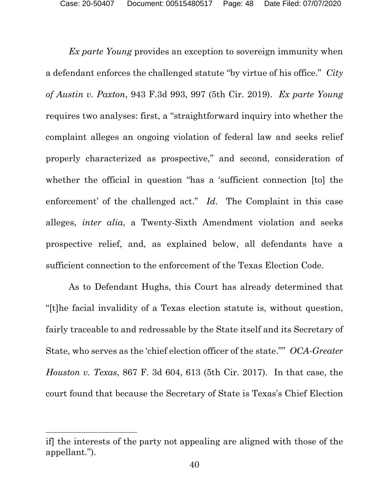*Ex parte Young* provides an exception to sovereign immunity when a defendant enforces the challenged statute "by virtue of his office." *City of Austin v. Paxton*, 943 F.3d 993, 997 (5th Cir. 2019). *Ex parte Young*  requires two analyses: first, a "straightforward inquiry into whether the complaint alleges an ongoing violation of federal law and seeks relief properly characterized as prospective," and second, consideration of whether the official in question "has a 'sufficient connection [to] the enforcement' of the challenged act." *Id*. The Complaint in this case alleges, *inter alia*, a Twenty-Sixth Amendment violation and seeks prospective relief, and, as explained below, all defendants have a sufficient connection to the enforcement of the Texas Election Code.

As to Defendant Hughs, this Court has already determined that "[t]he facial invalidity of a Texas election statute is, without question, fairly traceable to and redressable by the State itself and its Secretary of State, who serves as the 'chief election officer of the state."" *OCA-Greater Houston v. Texas*, 867 F. 3d 604, 613 (5th Cir. 2017). In that case, the court found that because the Secretary of State is Texas's Chief Election

if] the interests of the party not appealing are aligned with those of the appellant.").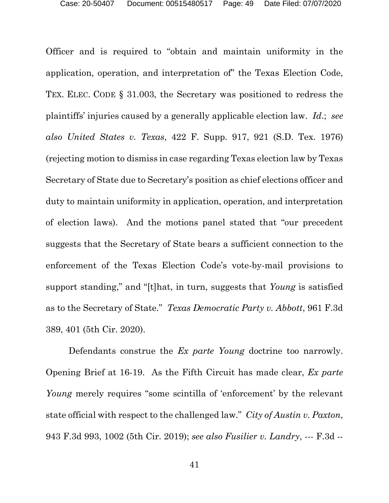Officer and is required to "obtain and maintain uniformity in the application, operation, and interpretation of" the Texas Election Code, TEX. ELEC. CODE § 31.003, the Secretary was positioned to redress the plaintiffs' injuries caused by a generally applicable election law. *Id*.; *see also United States v. Texas*, 422 F. Supp. 917, 921 (S.D. Tex. 1976) (rejecting motion to dismiss in case regarding Texas election law by Texas Secretary of State due to Secretary's position as chief elections officer and duty to maintain uniformity in application, operation, and interpretation of election laws). And the motions panel stated that "our precedent suggests that the Secretary of State bears a sufficient connection to the enforcement of the Texas Election Code's vote-by-mail provisions to support standing," and "[t]hat, in turn, suggests that *Young* is satisfied as to the Secretary of State." *Texas Democratic Party v. Abbott*, 961 F.3d 389, 401 (5th Cir. 2020).

Defendants construe the *Ex parte Young* doctrine too narrowly. Opening Brief at 16-19. As the Fifth Circuit has made clear, *Ex parte Young* merely requires "some scintilla of 'enforcement' by the relevant state official with respect to the challenged law." *City of Austin v. Paxton*, 943 F.3d 993, 1002 (5th Cir. 2019); *see also Fusilier v. Landry*, --- F.3d --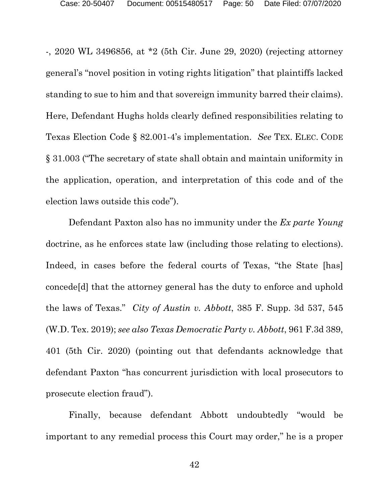-, 2020 WL 3496856, at \*2 (5th Cir. June 29, 2020) (rejecting attorney general's "novel position in voting rights litigation" that plaintiffs lacked standing to sue to him and that sovereign immunity barred their claims). Here, Defendant Hughs holds clearly defined responsibilities relating to Texas Election Code § 82.001-4's implementation. *See* TEX. ELEC. CODE § 31.003 ("The secretary of state shall obtain and maintain uniformity in the application, operation, and interpretation of this code and of the election laws outside this code").

Defendant Paxton also has no immunity under the *Ex parte Young* doctrine, as he enforces state law (including those relating to elections). Indeed, in cases before the federal courts of Texas, "the State [has] concede[d] that the attorney general has the duty to enforce and uphold the laws of Texas." *City of Austin v. Abbott*, 385 F. Supp. 3d 537, 545 (W.D. Tex. 2019); *see also Texas Democratic Party v. Abbott*, 961 F.3d 389, 401 (5th Cir. 2020) (pointing out that defendants acknowledge that defendant Paxton "has concurrent jurisdiction with local prosecutors to prosecute election fraud").

Finally, because defendant Abbott undoubtedly "would be important to any remedial process this Court may order," he is a proper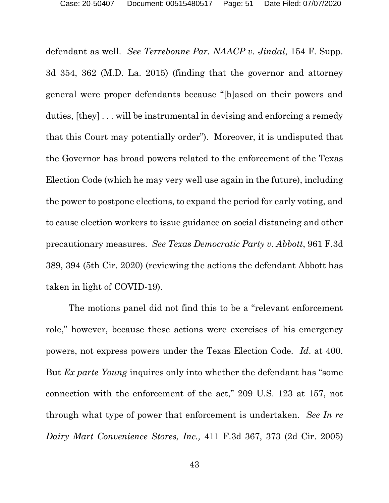defendant as well. *See Terrebonne Par. NAACP v. Jindal*, 154 F. Supp. 3d 354, 362 (M.D. La. 2015) (finding that the governor and attorney general were proper defendants because "[b]ased on their powers and duties, [they] . . . will be instrumental in devising and enforcing a remedy that this Court may potentially order"). Moreover, it is undisputed that the Governor has broad powers related to the enforcement of the Texas Election Code (which he may very well use again in the future), including the power to postpone elections, to expand the period for early voting, and to cause election workers to issue guidance on social distancing and other precautionary measures. *See Texas Democratic Party v. Abbott*, 961 F.3d 389, 394 (5th Cir. 2020) (reviewing the actions the defendant Abbott has taken in light of COVID-19).

The motions panel did not find this to be a "relevant enforcement role," however, because these actions were exercises of his emergency powers, not express powers under the Texas Election Code. *Id*. at 400. But *Ex parte Young* inquires only into whether the defendant has "some connection with the enforcement of the act," 209 U.S. 123 at 157, not through what type of power that enforcement is undertaken. *See In re Dairy Mart Convenience Stores, Inc.,* 411 F.3d 367, 373 (2d Cir. 2005)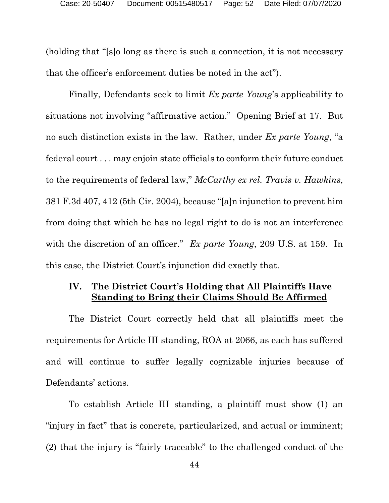(holding that "[s]o long as there is such a connection, it is not necessary that the officer's enforcement duties be noted in the act").

Finally, Defendants seek to limit *Ex parte Young*'s applicability to situations not involving "affirmative action." Opening Brief at 17. But no such distinction exists in the law. Rather, under *Ex parte Young*, "a federal court . . . may enjoin state officials to conform their future conduct to the requirements of federal law," *McCarthy ex rel. Travis v. Hawkins*, 381 F.3d 407, 412 (5th Cir. 2004), because "[a]n injunction to prevent him from doing that which he has no legal right to do is not an interference with the discretion of an officer." *Ex parte Young*, 209 U.S. at 159. In this case, the District Court's injunction did exactly that.

# <span id="page-51-0"></span>**IV. The District Court's Holding that All Plaintiffs Have Standing to Bring their Claims Should Be Affirmed**

The District Court correctly held that all plaintiffs meet the requirements for Article III standing, ROA at 2066, as each has suffered and will continue to suffer legally cognizable injuries because of Defendants' actions.

To establish Article III standing, a plaintiff must show (1) an "injury in fact" that is concrete, particularized, and actual or imminent; (2) that the injury is "fairly traceable" to the challenged conduct of the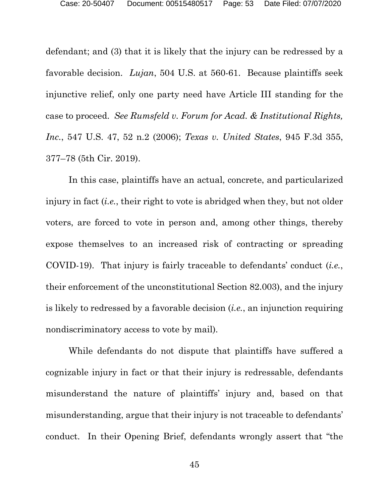defendant; and (3) that it is likely that the injury can be redressed by a favorable decision. *Lujan*, 504 U.S. at 560-61. Because plaintiffs seek injunctive relief, only one party need have Article III standing for the case to proceed. *See Rumsfeld v. Forum for Acad. & Institutional Rights, Inc.*, 547 U.S. 47, 52 n.2 (2006); *Texas v. United States*, 945 F.3d 355, 377–78 (5th Cir. 2019).

In this case, plaintiffs have an actual, concrete, and particularized injury in fact (*i.e.*, their right to vote is abridged when they, but not older voters, are forced to vote in person and, among other things, thereby expose themselves to an increased risk of contracting or spreading COVID-19). That injury is fairly traceable to defendants' conduct (*i.e.*, their enforcement of the unconstitutional Section 82.003), and the injury is likely to redressed by a favorable decision (*i.e.*, an injunction requiring nondiscriminatory access to vote by mail).

While defendants do not dispute that plaintiffs have suffered a cognizable injury in fact or that their injury is redressable, defendants misunderstand the nature of plaintiffs' injury and, based on that misunderstanding, argue that their injury is not traceable to defendants' conduct. In their Opening Brief, defendants wrongly assert that "the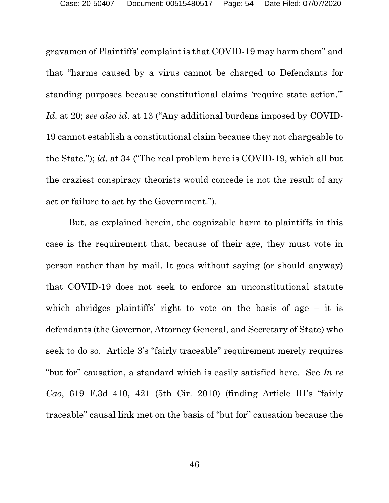gravamen of Plaintiffs' complaint is that COVID-19 may harm them" and that "harms caused by a virus cannot be charged to Defendants for standing purposes because constitutional claims 'require state action.'" *Id*. at 20; *see also id*. at 13 ("Any additional burdens imposed by COVID-19 cannot establish a constitutional claim because they not chargeable to the State."); *id*. at 34 ("The real problem here is COVID-19, which all but the craziest conspiracy theorists would concede is not the result of any act or failure to act by the Government.").

But, as explained herein, the cognizable harm to plaintiffs in this case is the requirement that, because of their age, they must vote in person rather than by mail. It goes without saying (or should anyway) that COVID-19 does not seek to enforce an unconstitutional statute which abridges plaintiffs' right to vote on the basis of age  $-$  it is defendants (the Governor, Attorney General, and Secretary of State) who seek to do so. Article 3's "fairly traceable" requirement merely requires "but for" causation, a standard which is easily satisfied here. See *In re Cao*, 619 F.3d 410, 421 (5th Cir. 2010) (finding Article III's "fairly traceable" causal link met on the basis of "but for" causation because the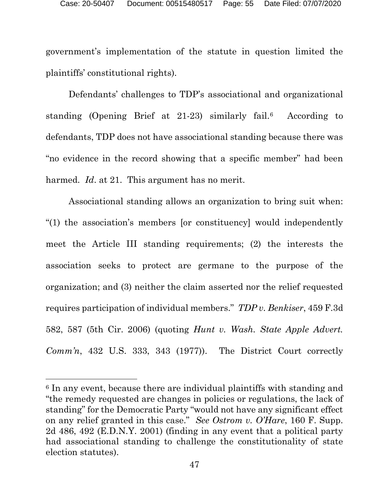government's implementation of the statute in question limited the plaintiffs' constitutional rights).

Defendants' challenges to TDP's associational and organizational standing (Opening Brief at 21-23) similarly fail.[6](#page-54-0) According to defendants, TDP does not have associational standing because there was "no evidence in the record showing that a specific member" had been harmed. *Id*. at 21. This argument has no merit.

Associational standing allows an organization to bring suit when: "(1) the association's members [or constituency] would independently meet the Article III standing requirements; (2) the interests the association seeks to protect are germane to the purpose of the organization; and (3) neither the claim asserted nor the relief requested requires participation of individual members." *TDP v. Benkiser*, 459 F.3d 582, 587 (5th Cir. 2006) (quoting *Hunt v. Wash. State Apple Advert. Comm'n*, 432 U.S. 333, 343 (1977)). The District Court correctly

<span id="page-54-0"></span><sup>&</sup>lt;sup>6</sup> In any event, because there are individual plaintiffs with standing and "the remedy requested are changes in policies or regulations, the lack of standing" for the Democratic Party "would not have any significant effect on any relief granted in this case." *See Ostrom v. O'Hare*, 160 F. Supp. 2d 486, 492 (E.D.N.Y. 2001) (finding in any event that a political party had associational standing to challenge the constitutionality of state election statutes).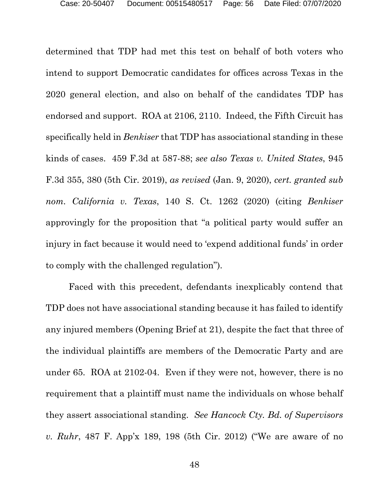determined that TDP had met this test on behalf of both voters who intend to support Democratic candidates for offices across Texas in the 2020 general election, and also on behalf of the candidates TDP has endorsed and support. ROA at 2106, 2110. Indeed, the Fifth Circuit has specifically held in *Benkiser* that TDP has associational standing in these kinds of cases. 459 F.3d at 587-88; *see also Texas v. United States*, 945 F.3d 355, 380 (5th Cir. 2019), *as revised* (Jan. 9, 2020), *cert. granted sub nom. California v. Texas*, 140 S. Ct. 1262 (2020) (citing *Benkiser* approvingly for the proposition that "a political party would suffer an injury in fact because it would need to 'expend additional funds' in order to comply with the challenged regulation").

Faced with this precedent, defendants inexplicably contend that TDP does not have associational standing because it has failed to identify any injured members (Opening Brief at 21), despite the fact that three of the individual plaintiffs are members of the Democratic Party and are under 65. ROA at 2102-04. Even if they were not, however, there is no requirement that a plaintiff must name the individuals on whose behalf they assert associational standing. *See Hancock Cty. Bd. of Supervisors v. Ruhr*, 487 F. App'x 189, 198 (5th Cir. 2012) ("We are aware of no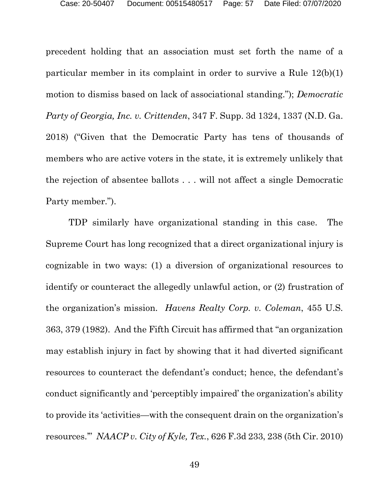precedent holding that an association must set forth the name of a particular member in its complaint in order to survive a Rule 12(b)(1) motion to dismiss based on lack of associational standing."); *Democratic Party of Georgia, Inc. v. Crittenden*, 347 F. Supp. 3d 1324, 1337 (N.D. Ga. 2018) ("Given that the Democratic Party has tens of thousands of members who are active voters in the state, it is extremely unlikely that the rejection of absentee ballots . . . will not affect a single Democratic Party member.").

TDP similarly have organizational standing in this case. The Supreme Court has long recognized that a direct organizational injury is cognizable in two ways: (1) a diversion of organizational resources to identify or counteract the allegedly unlawful action, or (2) frustration of the organization's mission. *Havens Realty Corp. v. Coleman*, 455 U.S. 363, 379 (1982). And the Fifth Circuit has affirmed that "an organization may establish injury in fact by showing that it had diverted significant resources to counteract the defendant's conduct; hence, the defendant's conduct significantly and 'perceptibly impaired' the organization's ability to provide its 'activities—with the consequent drain on the organization's resources.'" *NAACP v. City of Kyle, Tex.*, 626 F.3d 233, 238 (5th Cir. 2010)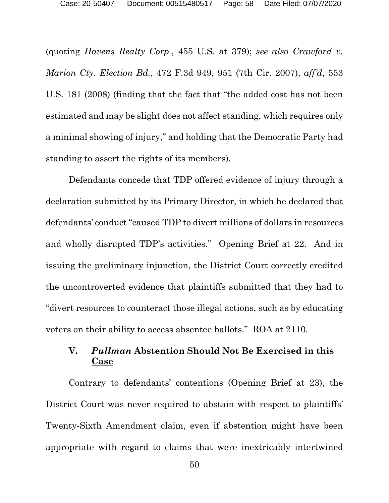(quoting *Havens Realty Corp.*, 455 U.S. at 379); *see also Crawford v. Marion Cty. Election Bd.*, 472 F.3d 949, 951 (7th Cir. 2007), *aff'd*, 553 U.S. 181 (2008) (finding that the fact that "the added cost has not been estimated and may be slight does not affect standing, which requires only a minimal showing of injury," and holding that the Democratic Party had standing to assert the rights of its members).

Defendants concede that TDP offered evidence of injury through a declaration submitted by its Primary Director, in which he declared that defendants' conduct "caused TDP to divert millions of dollars in resources and wholly disrupted TDP's activities." Opening Brief at 22. And in issuing the preliminary injunction, the District Court correctly credited the uncontroverted evidence that plaintiffs submitted that they had to "divert resources to counteract those illegal actions, such as by educating voters on their ability to access absentee ballots." ROA at 2110.

## <span id="page-57-0"></span>**V.** *Pullman* **Abstention Should Not Be Exercised in this Case**

Contrary to defendants' contentions (Opening Brief at 23), the District Court was never required to abstain with respect to plaintiffs' Twenty-Sixth Amendment claim, even if abstention might have been appropriate with regard to claims that were inextricably intertwined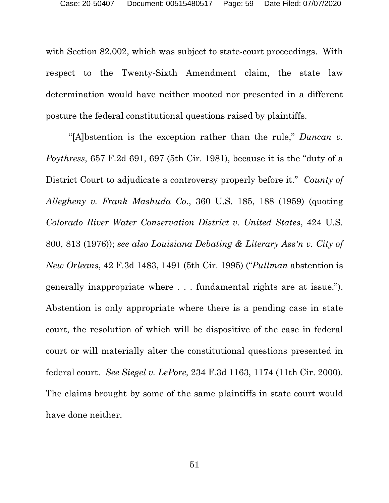with Section 82.002, which was subject to state-court proceedings. With respect to the Twenty-Sixth Amendment claim, the state law determination would have neither mooted nor presented in a different posture the federal constitutional questions raised by plaintiffs.

"[A]bstention is the exception rather than the rule," *Duncan v. Poythress*, 657 F.2d 691, 697 (5th Cir. 1981), because it is the "duty of a District Court to adjudicate a controversy properly before it." *County of Allegheny v. Frank Mashuda Co*., 360 U.S. 185, 188 (1959) (quoting *Colorado River Water Conservation District v. United States*, 424 U.S. 800, 813 (1976)); *see also Louisiana Debating & Literary Ass'n v. City of New Orleans*, 42 F.3d 1483, 1491 (5th Cir. 1995) ("*Pullman* abstention is generally inappropriate where . . . fundamental rights are at issue."). Abstention is only appropriate where there is a pending case in state court, the resolution of which will be dispositive of the case in federal court or will materially alter the constitutional questions presented in federal court. *See Siegel v. LePore*, 234 F.3d 1163, 1174 (11th Cir. 2000). The claims brought by some of the same plaintiffs in state court would have done neither.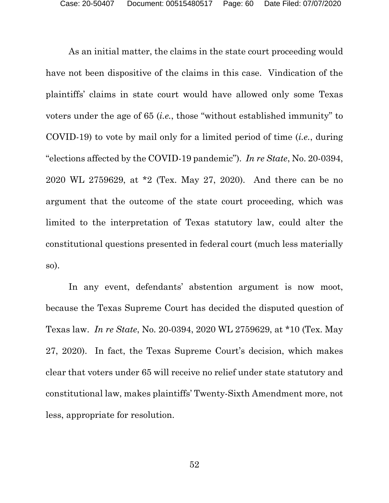As an initial matter, the claims in the state court proceeding would have not been dispositive of the claims in this case. Vindication of the plaintiffs' claims in state court would have allowed only some Texas voters under the age of 65 (*i.e.*, those "without established immunity" to COVID-19) to vote by mail only for a limited period of time (*i.e.*, during "elections affected by the COVID-19 pandemic"). *In re State*, No. 20-0394, 2020 WL 2759629, at \*2 (Tex. May 27, 2020). And there can be no argument that the outcome of the state court proceeding, which was limited to the interpretation of Texas statutory law, could alter the constitutional questions presented in federal court (much less materially so).

In any event, defendants' abstention argument is now moot, because the Texas Supreme Court has decided the disputed question of Texas law. *In re State*, No. 20-0394, 2020 WL 2759629, at \*10 (Tex. May 27, 2020). In fact, the Texas Supreme Court's decision, which makes clear that voters under 65 will receive no relief under state statutory and constitutional law, makes plaintiffs' Twenty-Sixth Amendment more, not less, appropriate for resolution.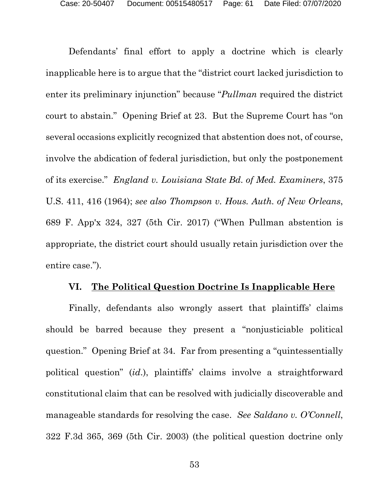Defendants' final effort to apply a doctrine which is clearly inapplicable here is to argue that the "district court lacked jurisdiction to enter its preliminary injunction" because "*Pullman* required the district court to abstain." Opening Brief at 23. But the Supreme Court has "on several occasions explicitly recognized that abstention does not, of course, involve the abdication of federal jurisdiction, but only the postponement of its exercise." *England v. Louisiana State Bd. of Med. Examiners*, 375 U.S. 411, 416 (1964); *see also Thompson v. Hous. Auth. of New Orleans*, 689 F. App'x 324, 327 (5th Cir. 2017) ("When Pullman abstention is appropriate, the district court should usually retain jurisdiction over the entire case.").

## **VI. The Political Question Doctrine Is Inapplicable Here**

<span id="page-60-0"></span>Finally, defendants also wrongly assert that plaintiffs' claims should be barred because they present a "nonjusticiable political question." Opening Brief at 34. Far from presenting a "quintessentially political question" (*id*.), plaintiffs' claims involve a straightforward constitutional claim that can be resolved with judicially discoverable and manageable standards for resolving the case. *See Saldano v. O'Connell*, 322 F.3d 365, 369 (5th Cir. 2003) (the political question doctrine only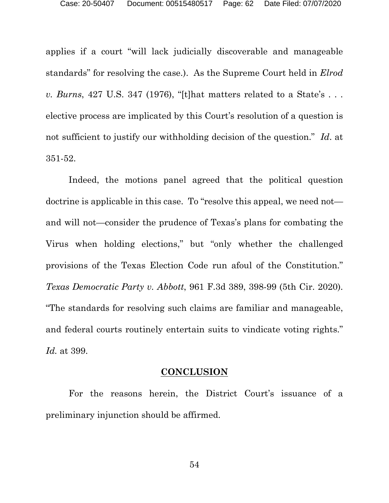applies if a court "will lack judicially discoverable and manageable standards" for resolving the case.). As the Supreme Court held in *Elrod v. Burns*, 427 U.S. 347 (1976), "[t]hat matters related to a State's . . . elective process are implicated by this Court's resolution of a question is not sufficient to justify our withholding decision of the question." *Id*. at 351-52.

Indeed, the motions panel agreed that the political question doctrine is applicable in this case. To "resolve this appeal, we need not and will not—consider the prudence of Texas's plans for combating the Virus when holding elections," but "only whether the challenged provisions of the Texas Election Code run afoul of the Constitution." *Texas Democratic Party v. Abbott*, 961 F.3d 389, 398-99 (5th Cir. 2020). "The standards for resolving such claims are familiar and manageable, and federal courts routinely entertain suits to vindicate voting rights." *Id.* at 399.

### **CONCLUSION**

<span id="page-61-0"></span>For the reasons herein, the District Court's issuance of a preliminary injunction should be affirmed.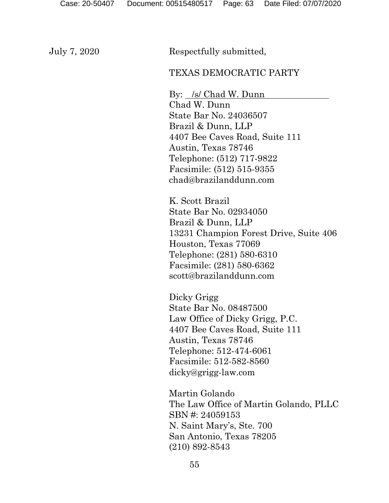July 7, 2020 Respectfully submitted,

## TEXAS DEMOCRATIC PARTY

By: /s/ Chad W. Dunn Chad W. Dunn State Bar No. 24036507 Brazil & Dunn, LLP 4407 Bee Caves Road, Suite 111 Austin, Texas 78746 Telephone: (512) 717-9822 Facsimile: (512) 515-9355 chad@brazilanddunn.com

K. Scott Brazil State Bar No. 02934050 Brazil & Dunn, LLP 13231 Champion Forest Drive, Suite 406 Houston, Texas 77069 Telephone: (281) 580-6310 Facsimile: (281) 580-6362 scott@brazilanddunn.com

Dicky Grigg State Bar No. 08487500 Law Office of Dicky Grigg, P.C. 4407 Bee Caves Road, Suite 111 Austin, Texas 78746 Telephone: 512-474-6061 Facsimile: 512-582-8560 dicky@grigg-law.com

Martin Golando The Law Office of Martin Golando, PLLC SBN #: 24059153 N. Saint Mary's, Ste. 700 San Antonio, Texas 78205 (210) 892-8543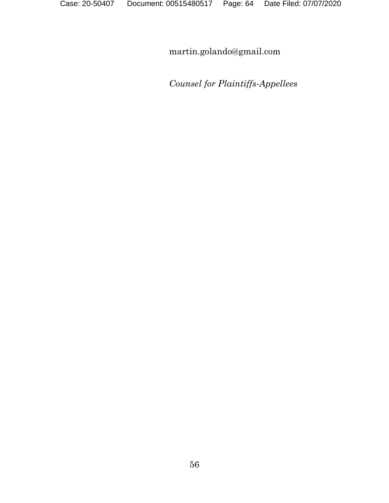martin.golando@gmail.com

*Counsel for Plaintiffs-Appellees*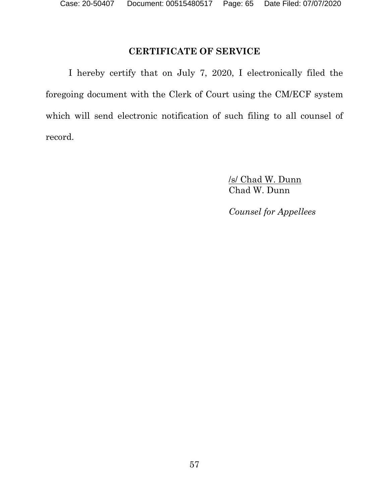# **CERTIFICATE OF SERVICE**

<span id="page-64-0"></span>I hereby certify that on July 7, 2020, I electronically filed the foregoing document with the Clerk of Court using the CM/ECF system which will send electronic notification of such filing to all counsel of record.

> /s/ Chad W. Dunn Chad W. Dunn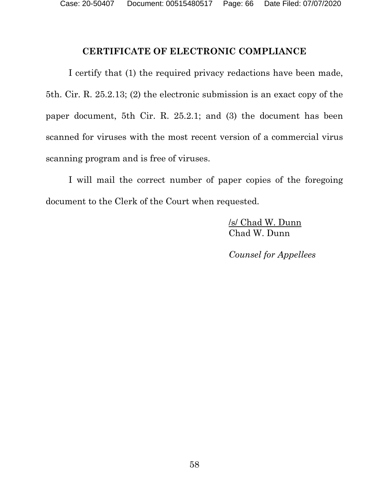## **CERTIFICATE OF ELECTRONIC COMPLIANCE**

<span id="page-65-0"></span>I certify that (1) the required privacy redactions have been made, 5th. Cir. R. 25.2.13; (2) the electronic submission is an exact copy of the paper document, 5th Cir. R. 25.2.1; and (3) the document has been scanned for viruses with the most recent version of a commercial virus scanning program and is free of viruses.

I will mail the correct number of paper copies of the foregoing document to the Clerk of the Court when requested.

> /s/ Chad W. Dunn Chad W. Dunn